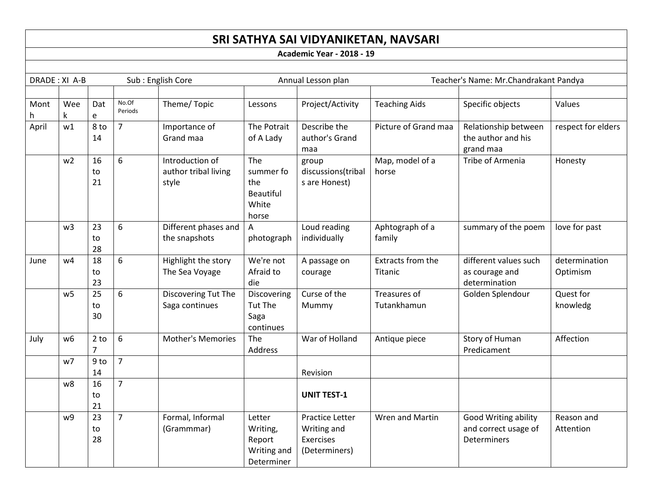# **SRI SATHYA SAI VIDYANIKETAN, NAVSARI**

**Academic Year - 2018 - 19**

| DRADE: XI A-B |                |                          |                  | Sub: English Core                                | Annual Lesson plan                                        |                                                                     |                              | Teacher's Name: Mr.Chandrakant Pandya                       |                           |  |
|---------------|----------------|--------------------------|------------------|--------------------------------------------------|-----------------------------------------------------------|---------------------------------------------------------------------|------------------------------|-------------------------------------------------------------|---------------------------|--|
|               |                |                          |                  |                                                  |                                                           |                                                                     |                              |                                                             |                           |  |
| Mont<br>h.    | Wee<br>k       | Dat<br>e                 | No.Of<br>Periods | Theme/Topic                                      | Lessons                                                   | Project/Activity                                                    | <b>Teaching Aids</b>         | Specific objects                                            | Values                    |  |
| April         | w1             | 8 to<br>14               | $\overline{7}$   | Importance of<br>Grand maa                       | The Potrait<br>of A Lady                                  | Describe the<br>author's Grand<br>maa                               | Picture of Grand maa         | Relationship between<br>the author and his<br>grand maa     | respect for elders        |  |
|               | w <sub>2</sub> | 16<br>to<br>21           | 6                | Introduction of<br>author tribal living<br>style | The<br>summer fo<br>the<br>Beautiful<br>White<br>horse    | group<br>discussions(tribal<br>s are Honest)                        | Map, model of a<br>horse     | Tribe of Armenia                                            | Honesty                   |  |
|               | w <sub>3</sub> | 23<br>to<br>28           | 6                | Different phases and<br>the snapshots            | A<br>photograph                                           | Loud reading<br>individually                                        | Aphtograph of a<br>family    | summary of the poem                                         | love for past             |  |
| June          | w4             | 18<br>to<br>23           | 6                | Highlight the story<br>The Sea Voyage            | We're not<br>Afraid to<br>die                             | A passage on<br>courage                                             | Extracts from the<br>Titanic | different values such<br>as courage and<br>determination    | determination<br>Optimism |  |
|               | W <sub>5</sub> | 25<br>to<br>30           | 6                | Discovering Tut The<br>Saga continues            | Discovering<br>Tut The<br>Saga<br>continues               | Curse of the<br>Mummy                                               | Treasures of<br>Tutankhamun  | Golden Splendour                                            | Quest for<br>knowledg     |  |
| July          | w <sub>6</sub> | $2$ to<br>$\overline{7}$ | 6                | <b>Mother's Memories</b>                         | The<br>Address                                            | War of Holland                                                      | Antique piece                | Story of Human<br>Predicament                               | Affection                 |  |
|               | w7             | $9$ to<br>14             | $\overline{7}$   |                                                  |                                                           | Revision                                                            |                              |                                                             |                           |  |
|               | w8             | 16<br>to<br>21           | $\overline{7}$   |                                                  |                                                           | <b>UNIT TEST-1</b>                                                  |                              |                                                             |                           |  |
|               | w9             | 23<br>to<br>28           | $\overline{7}$   | Formal, Informal<br>(Grammmar)                   | Letter<br>Writing,<br>Report<br>Writing and<br>Determiner | Practice Letter<br>Writing and<br><b>Exercises</b><br>(Determiners) | Wren and Martin              | Good Writing ability<br>and correct usage of<br>Determiners | Reason and<br>Attention   |  |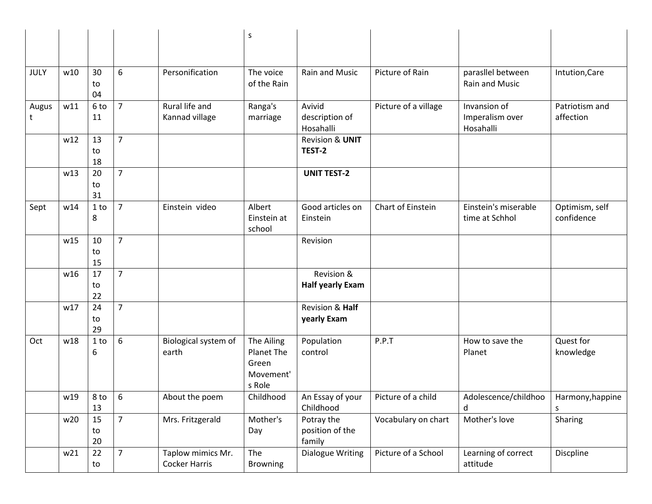|             |     |                |                |                                           | $\sf S$                                                  |                                         |                      |                                              |                              |
|-------------|-----|----------------|----------------|-------------------------------------------|----------------------------------------------------------|-----------------------------------------|----------------------|----------------------------------------------|------------------------------|
|             |     |                |                |                                           |                                                          |                                         |                      |                                              |                              |
| <b>JULY</b> | w10 | 30<br>to<br>04 | 6              | Personification                           | The voice<br>of the Rain                                 | Rain and Music                          | Picture of Rain      | parasllel between<br>Rain and Music          | Intution, Care               |
| Augus<br>t  | w11 | 6 to<br>11     | $\overline{7}$ | Rural life and<br>Kannad village          | Ranga's<br>marriage                                      | Avivid<br>description of<br>Hosahalli   | Picture of a village | Invansion of<br>Imperalism over<br>Hosahalli | Patriotism and<br>affection  |
|             | w12 | 13<br>to<br>18 | $\overline{7}$ |                                           |                                                          | <b>Revision &amp; UNIT</b><br>TEST-2    |                      |                                              |                              |
|             | w13 | 20<br>to<br>31 | $\overline{7}$ |                                           |                                                          | <b>UNIT TEST-2</b>                      |                      |                                              |                              |
| Sept        | w14 | $1$ to<br>8    | $\overline{7}$ | Einstein video                            | Albert<br>Einstein at<br>school                          | Good articles on<br>Einstein            | Chart of Einstein    | Einstein's miserable<br>time at Schhol       | Optimism, self<br>confidence |
|             | w15 | 10<br>to<br>15 | $\overline{7}$ |                                           |                                                          | Revision                                |                      |                                              |                              |
|             | w16 | 17<br>to<br>22 | $\overline{7}$ |                                           |                                                          | Revision &<br><b>Half yearly Exam</b>   |                      |                                              |                              |
|             | w17 | 24<br>to<br>29 | $\overline{7}$ |                                           |                                                          | Revision & Half<br>yearly Exam          |                      |                                              |                              |
| Oct         | w18 | $1$ to<br>6    | 6              | Biological system of<br>earth             | The Ailing<br>Planet The<br>Green<br>Movement'<br>s Role | Population<br>control                   | P.P.T                | How to save the<br>Planet                    | Quest for<br>knowledge       |
|             | w19 | 8 to<br>13     | 6              | About the poem                            | Childhood                                                | An Essay of your<br>Childhood           | Picture of a child   | Adolescence/childhoo<br>d                    | Harmony, happine             |
|             | w20 | 15<br>to<br>20 | $\overline{7}$ | Mrs. Fritzgerald                          | Mother's<br>Day                                          | Potray the<br>position of the<br>family | Vocabulary on chart  | Mother's love                                | Sharing                      |
|             | w21 | 22<br>to       | $\overline{7}$ | Taplow mimics Mr.<br><b>Cocker Harris</b> | The<br><b>Browning</b>                                   | <b>Dialogue Writing</b>                 | Picture of a School  | Learning of correct<br>attitude              | Discpline                    |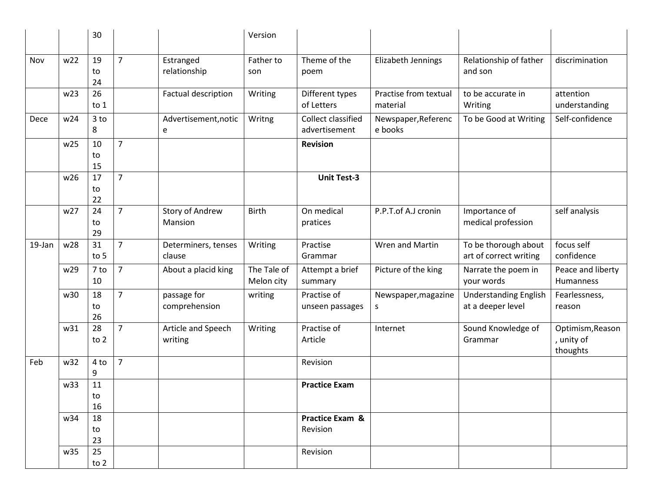|        |     | 30             |                |                                   | Version                   |                                     |                                   |                                                   |                                            |
|--------|-----|----------------|----------------|-----------------------------------|---------------------------|-------------------------------------|-----------------------------------|---------------------------------------------------|--------------------------------------------|
| Nov    | w22 | 19<br>to<br>24 | $\overline{7}$ | Estranged<br>relationship         | Father to<br>son          | Theme of the<br>poem                | Elizabeth Jennings                | Relationship of father<br>and son                 | discrimination                             |
|        | w23 | 26<br>to $1$   |                | Factual description               | Writing                   | Different types<br>of Letters       | Practise from textual<br>material | to be accurate in<br>Writing                      | attention<br>understanding                 |
| Dece   | w24 | $3$ to<br>8    |                | Advertisement, notic<br>e         | Writng                    | Collect classified<br>advertisement | Newspaper, Referenc<br>e books    | To be Good at Writing                             | Self-confidence                            |
|        | w25 | 10<br>to<br>15 | $\overline{7}$ |                                   |                           | <b>Revision</b>                     |                                   |                                                   |                                            |
|        | w26 | 17<br>to<br>22 | $\overline{7}$ |                                   |                           | <b>Unit Test-3</b>                  |                                   |                                                   |                                            |
|        | w27 | 24<br>to<br>29 | $\overline{7}$ | <b>Story of Andrew</b><br>Mansion | <b>Birth</b>              | On medical<br>pratices              | P.P.T.of A.J cronin               | Importance of<br>medical profession               | self analysis                              |
| 19-Jan | w28 | 31<br>to 5     | $\overline{7}$ | Determiners, tenses<br>clause     | Writing                   | Practise<br>Grammar                 | Wren and Martin                   | To be thorough about<br>art of correct writing    | focus self<br>confidence                   |
|        | w29 | 7 to<br>10     | $\overline{7}$ | About a placid king               | The Tale of<br>Melon city | Attempt a brief<br>summary          | Picture of the king               | Narrate the poem in<br>your words                 | Peace and liberty<br>Humanness             |
|        | w30 | 18<br>to<br>26 | $\overline{7}$ | passage for<br>comprehension      | writing                   | Practise of<br>unseen passages      | Newspaper, magazine<br>S          | <b>Understanding English</b><br>at a deeper level | Fearlessness,<br>reason                    |
|        | w31 | 28<br>to 2     | $\overline{7}$ | Article and Speech<br>writing     | Writing                   | Practise of<br>Article              | Internet                          | Sound Knowledge of<br>Grammar                     | Optimism, Reason<br>, unity of<br>thoughts |
| Feb    | w32 | 4 to<br>9      | $\overline{7}$ |                                   |                           | Revision                            |                                   |                                                   |                                            |
|        | w33 | 11<br>to<br>16 |                |                                   |                           | <b>Practice Exam</b>                |                                   |                                                   |                                            |
|        | w34 | 18<br>to<br>23 |                |                                   |                           | Practice Exam &<br>Revision         |                                   |                                                   |                                            |
|        | w35 | 25<br>to $2$   |                |                                   |                           | Revision                            |                                   |                                                   |                                            |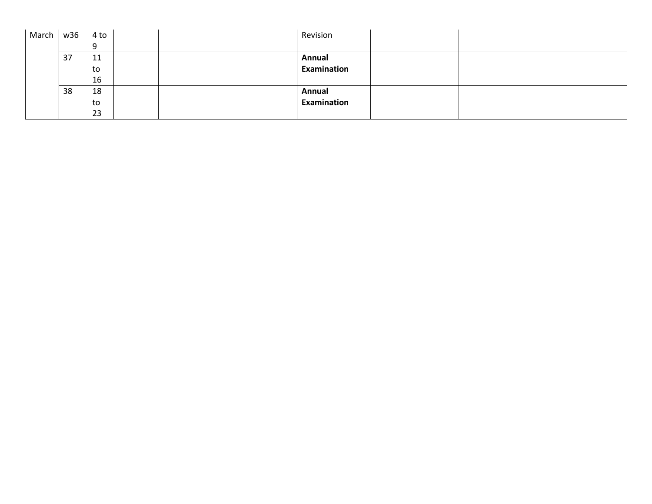| March | w36 | 4 to |  | Revision    |  |  |
|-------|-----|------|--|-------------|--|--|
|       |     |      |  |             |  |  |
|       | 37  | 11   |  | Annual      |  |  |
|       |     | to   |  | Examination |  |  |
|       |     | 16   |  |             |  |  |
|       | 38  | 18   |  | Annual      |  |  |
|       |     | to   |  | Examination |  |  |
|       |     | 23   |  |             |  |  |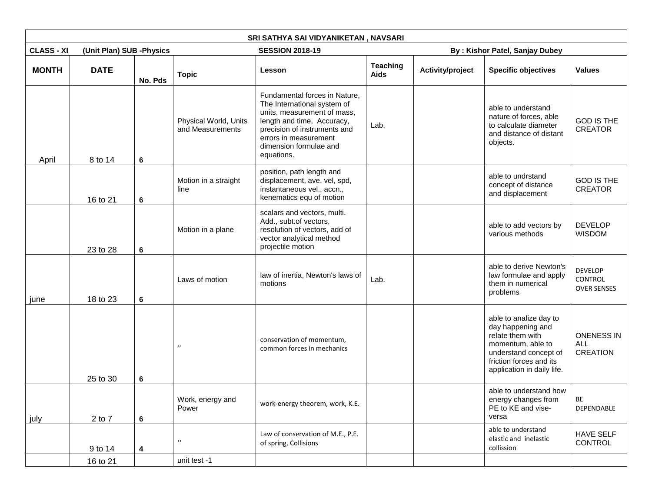|                   |                           |         |                                           | SRI SATHYA SAI VIDYANIKETAN, NAVSARI                                                                                                                                                                                       |                                |                  |                                                                                                                                                                        |                                                 |
|-------------------|---------------------------|---------|-------------------------------------------|----------------------------------------------------------------------------------------------------------------------------------------------------------------------------------------------------------------------------|--------------------------------|------------------|------------------------------------------------------------------------------------------------------------------------------------------------------------------------|-------------------------------------------------|
| <b>CLASS - XI</b> | (Unit Plan) SUB - Physics |         |                                           | <b>SESSION 2018-19</b>                                                                                                                                                                                                     |                                |                  | By: Kishor Patel, Sanjay Dubey                                                                                                                                         |                                                 |
| <b>MONTH</b>      | <b>DATE</b>               | No. Pds | <b>Topic</b>                              | Lesson                                                                                                                                                                                                                     | <b>Teaching</b><br><b>Aids</b> | Activity/project | <b>Specific objectives</b>                                                                                                                                             | <b>Values</b>                                   |
| April             | 8 to 14                   | 6       | Physical World, Units<br>and Measurements | Fundamental forces in Nature,<br>The International system of<br>units, measurement of mass,<br>length and time, Accuracy,<br>precision of instruments and<br>errors in measurement<br>dimension formulae and<br>equations. | Lab.                           |                  | able to understand<br>nature of forces, able<br>to calculate diameter<br>and distance of distant<br>objects.                                                           | <b>GOD IS THE</b><br><b>CREATOR</b>             |
|                   | 16 to 21                  | 6       | Motion in a straight<br>line              | position, path length and<br>displacement, ave. vel, spd,<br>instantaneous vel., accn.,<br>kenematics equ of motion                                                                                                        |                                |                  | able to undrstand<br>concept of distance<br>and displacement                                                                                                           | <b>GOD IS THE</b><br><b>CREATOR</b>             |
|                   | 23 to 28                  | 6       | Motion in a plane                         | scalars and vectors, multi.<br>Add., subt.of vectors,<br>resolution of vectors, add of<br>vector analytical method<br>projectile motion                                                                                    |                                |                  | able to add vectors by<br>various methods                                                                                                                              | <b>DEVELOP</b><br><b>WISDOM</b>                 |
| june              | 18 to 23                  | 6       | Laws of motion                            | law of inertia, Newton's laws of<br>motions                                                                                                                                                                                | Lab.                           |                  | able to derive Newton's<br>law formulae and apply<br>them in numerical<br>problems                                                                                     | <b>DEVELOP</b><br>CONTROL<br><b>OVER SENSES</b> |
|                   | 25 to 30                  | 6       | $^{\prime \prime}$                        | conservation of momentum,<br>common forces in mechanics                                                                                                                                                                    |                                |                  | able to analize day to<br>day happening and<br>relate them with<br>momentum, able to<br>understand concept of<br>friction forces and its<br>application in daily life. | <b>ONENESS IN</b><br>ALL<br><b>CREATION</b>     |
| july              | 2 to 7                    | $\bf 6$ | Work, energy and<br>Power                 | work-energy theorem, work, K.E.                                                                                                                                                                                            |                                |                  | able to understand how<br>energy changes from<br>PE to KE and vise-<br>versa                                                                                           | BE<br>DEPENDABLE                                |
|                   | 9 to 14                   | 4       | $, \,$                                    | Law of conservation of M.E., P.E.<br>of spring, Collisions                                                                                                                                                                 |                                |                  | able to understand<br>elastic and inelastic<br>collission                                                                                                              | <b>HAVE SELF</b><br>CONTROL                     |
|                   | 16 to 21                  |         | unit test -1                              |                                                                                                                                                                                                                            |                                |                  |                                                                                                                                                                        |                                                 |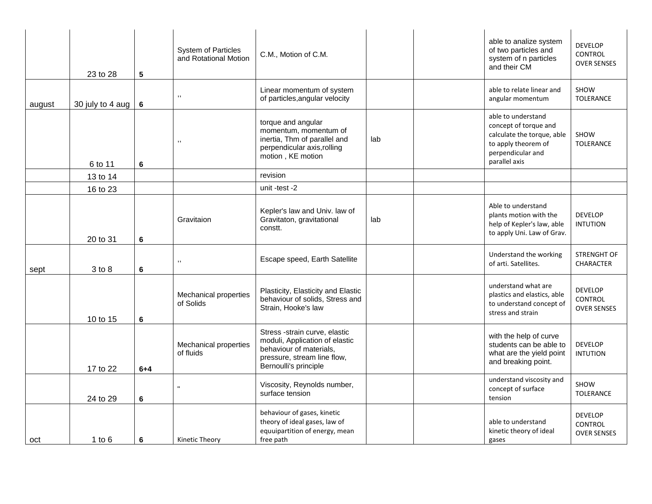|        | 23 to 28             | $5\phantom{.0}$ | <b>System of Particles</b><br>and Rotational Motion | C.M., Motion of C.M.                                                                                                                               |     | able to analize system<br>of two particles and<br>system of n particles<br>and their CM                                                | <b>DEVELOP</b><br><b>CONTROL</b><br><b>OVER SENSES</b> |
|--------|----------------------|-----------------|-----------------------------------------------------|----------------------------------------------------------------------------------------------------------------------------------------------------|-----|----------------------------------------------------------------------------------------------------------------------------------------|--------------------------------------------------------|
| august | 30 july to 4 aug $ $ | 6               | ,,                                                  | Linear momentum of system<br>of particles, angular velocity                                                                                        |     | able to relate linear and<br>angular momentum                                                                                          | SHOW<br><b>TOLERANCE</b>                               |
|        | 6 to 11              | 6               | ,,                                                  | torque and angular<br>momentum, momentum of<br>inertia, Thm of parallel and<br>perpendicular axis, rolling<br>motion, KE motion                    | lab | able to understand<br>concept of torque and<br>calculate the torque, able<br>to apply theorem of<br>perpendicular and<br>parallel axis | SHOW<br><b>TOLERANCE</b>                               |
|        | 13 to 14             |                 |                                                     | revision                                                                                                                                           |     |                                                                                                                                        |                                                        |
|        | 16 to 23             |                 |                                                     | unit -test -2                                                                                                                                      |     |                                                                                                                                        |                                                        |
|        | 20 to 31             | 6               | Gravitaion                                          | Kepler's law and Univ. law of<br>Gravitaton, gravitational<br>constt.                                                                              | lab | Able to understand<br>plants motion with the<br>help of Kepler's law, able<br>to apply Uni. Law of Grav.                               | <b>DEVELOP</b><br><b>INTUTION</b>                      |
| sept   | 3 to 8               | 6               | ,,                                                  | Escape speed, Earth Satellite                                                                                                                      |     | Understand the working<br>of arti. Satellites.                                                                                         | <b>STRENGHT OF</b><br><b>CHARACTER</b>                 |
|        | 10 to 15             | 6               | <b>Mechanical properties</b><br>of Solids           | Plasticity, Elasticity and Elastic<br>behaviour of solids, Stress and<br>Strain, Hooke's law                                                       |     | understand what are<br>plastics and elastics, able<br>to understand concept of<br>stress and strain                                    | <b>DEVELOP</b><br><b>CONTROL</b><br><b>OVER SENSES</b> |
|        | 17 to 22             | $6 + 4$         | <b>Mechanical properties</b><br>of fluids           | Stress -strain curve, elastic<br>moduli, Application of elastic<br>behaviour of materials,<br>pressure, stream line flow,<br>Bernoulli's principle |     | with the help of curve<br>students can be able to<br>what are the yield point<br>and breaking point.                                   | <b>DEVELOP</b><br><b>INTUTION</b>                      |
|        | 24 to 29             | 6               |                                                     | Viscosity, Reynolds number,<br>surface tension                                                                                                     |     | understand viscosity and<br>concept of surface<br>tension                                                                              | SHOW<br><b>TOLERANCE</b>                               |
| oct    | $1$ to $6$           | 6               | Kinetic Theory                                      | behaviour of gases, kinetic<br>theory of ideal gases, law of<br>equuipartition of energy, mean<br>free path                                        |     | able to understand<br>kinetic theory of ideal<br>gases                                                                                 | <b>DEVELOP</b><br><b>CONTROL</b><br><b>OVER SENSES</b> |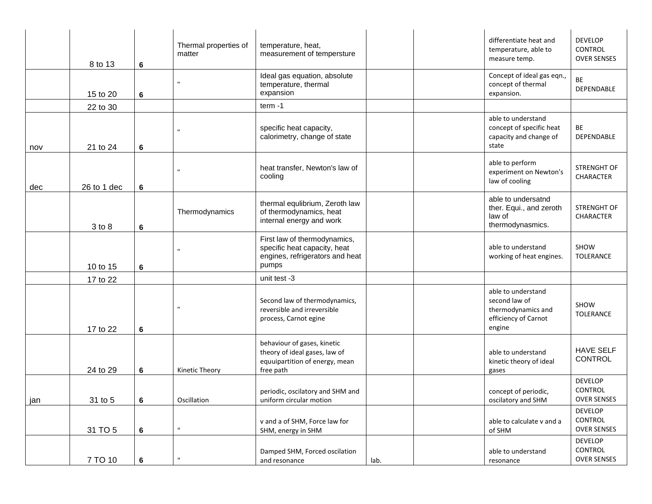|     | 8 to 13     | $\bf 6$ | Thermal properties of<br>matter | temperature, heat,<br>measurement of tempersture                                                            |      | differentiate heat and<br>temperature, able to<br>measure temp.                             | <b>DEVELOP</b><br>CONTROL<br><b>OVER SENSES</b> |
|-----|-------------|---------|---------------------------------|-------------------------------------------------------------------------------------------------------------|------|---------------------------------------------------------------------------------------------|-------------------------------------------------|
|     | 15 to 20    | 6       |                                 | Ideal gas equation, absolute<br>temperature, thermal<br>expansion                                           |      | Concept of ideal gas eqn.,<br>concept of thermal<br>expansion.                              | BE<br>DEPENDABLE                                |
|     | 22 to 30    |         |                                 | $term -1$                                                                                                   |      |                                                                                             |                                                 |
| nov | 21 to 24    | 6       |                                 | specific heat capacity,<br>calorimetry, change of state                                                     |      | able to understand<br>concept of specific heat<br>capacity and change of<br>state           | BE<br>DEPENDABLE                                |
| dec | 26 to 1 dec | 6       |                                 | heat transfer, Newton's law of<br>cooling                                                                   |      | able to perform<br>experiment on Newton's<br>law of cooling                                 | <b>STRENGHT OF</b><br>CHARACTER                 |
|     | 3 to 8      | 6       | Thermodynamics                  | thermal equlibrium, Zeroth law<br>of thermodynamics, heat<br>internal energy and work                       |      | able to undersatnd<br>ther. Equi., and zeroth<br>law of<br>thermodynasmics.                 | STRENGHT OF<br>CHARACTER                        |
|     | 10 to 15    | 6       |                                 | First law of thermodynamics,<br>specific heat capacity, heat<br>engines, refrigerators and heat<br>pumps    |      | able to understand<br>working of heat engines.                                              | SHOW<br><b>TOLERANCE</b>                        |
|     | 17 to 22    |         |                                 | unit test -3                                                                                                |      |                                                                                             |                                                 |
|     | 17 to 22    | 6       |                                 | Second law of thermodynamics,<br>reversible and irreversible<br>process, Carnot egine                       |      | able to understand<br>second law of<br>thermodynamics and<br>efficiency of Carnot<br>engine | SHOW<br><b>TOLERANCE</b>                        |
|     | 24 to 29    | 6       | Kinetic Theory                  | behaviour of gases, kinetic<br>theory of ideal gases, law of<br>equuipartition of energy, mean<br>free path |      | able to understand<br>kinetic theory of ideal<br>gases                                      | <b>HAVE SELF</b><br>CONTROL                     |
| jan | 31 to 5     | 6       | Oscillation                     | periodic, oscilatory and SHM and<br>uniform circular motion                                                 |      | concept of periodic,<br>oscilatory and SHM                                                  | <b>DEVELOP</b><br>CONTROL<br><b>OVER SENSES</b> |
|     | 31 TO 5     | 6       | $\mathbf{u}$                    | v and a of SHM, Force law for<br>SHM, energy in SHM                                                         |      | able to calculate v and a<br>of SHM                                                         | <b>DEVELOP</b><br>CONTROL<br><b>OVER SENSES</b> |
|     | 7 TO 10     | $\bf 6$ | $\mathbf{u}$                    | Damped SHM, Forced oscilation<br>and resonance                                                              | lab. | able to understand<br>resonance                                                             | <b>DEVELOP</b><br>CONTROL<br><b>OVER SENSES</b> |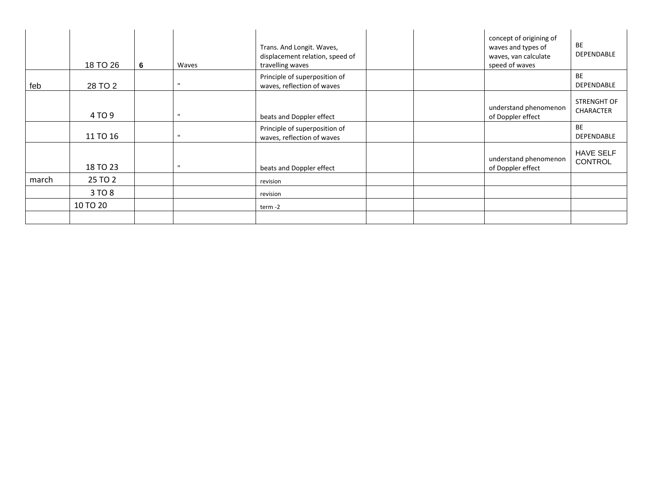|       | 18 TO 26 | 6 | Waves        | Trans. And Longit. Waves,<br>displacement relation, speed of<br>travelling waves |  | concept of origining of<br>waves and types of<br>waves, van calculate<br>speed of waves | BE<br><b>DEPENDABLE</b>            |
|-------|----------|---|--------------|----------------------------------------------------------------------------------|--|-----------------------------------------------------------------------------------------|------------------------------------|
| feb   | 28 TO 2  |   | $\mathbf{u}$ | Principle of superposition of<br>waves, reflection of waves                      |  |                                                                                         | <b>BE</b><br><b>DEPENDABLE</b>     |
|       | 4 TO 9   |   | $\mathbf{u}$ | beats and Doppler effect                                                         |  | understand phenomenon<br>of Doppler effect                                              | STRENGHT OF<br><b>CHARACTER</b>    |
|       | 11 TO 16 |   | $\mathbf{u}$ | Principle of superposition of<br>waves, reflection of waves                      |  |                                                                                         | <b>BE</b><br><b>DEPENDABLE</b>     |
|       | 18 TO 23 |   | $\mathbf{u}$ | beats and Doppler effect                                                         |  | understand phenomenon<br>of Doppler effect                                              | <b>HAVE SELF</b><br><b>CONTROL</b> |
| march | 25 TO 2  |   |              | revision                                                                         |  |                                                                                         |                                    |
|       | 3 TO 8   |   |              | revision                                                                         |  |                                                                                         |                                    |
|       | 10 TO 20 |   |              | term -2                                                                          |  |                                                                                         |                                    |
|       |          |   |              |                                                                                  |  |                                                                                         |                                    |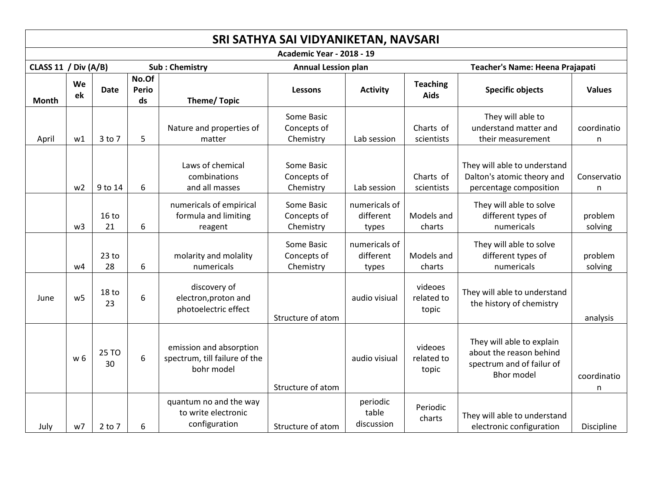|                      | SRI SATHYA SAI VIDYANIKETAN, NAVSARI |                        |                             |                                                                        |                                        |                                     |                                |                                                                                                        |                             |  |  |  |  |  |
|----------------------|--------------------------------------|------------------------|-----------------------------|------------------------------------------------------------------------|----------------------------------------|-------------------------------------|--------------------------------|--------------------------------------------------------------------------------------------------------|-----------------------------|--|--|--|--|--|
|                      |                                      |                        |                             |                                                                        | <b>Academic Year - 2018 - 19</b>       |                                     |                                |                                                                                                        |                             |  |  |  |  |  |
| CLASS 11 / Div (A/B) |                                      |                        |                             | <b>Sub: Chemistry</b>                                                  | <b>Annual Lession plan</b>             |                                     |                                | Teacher's Name: Heena Prajapati                                                                        |                             |  |  |  |  |  |
| Month                | We<br>ek                             | <b>Date</b>            | No.Of<br><b>Perio</b><br>ds | <b>Theme/Topic</b>                                                     | <b>Lessons</b>                         | <b>Activity</b>                     | <b>Teaching</b><br><b>Aids</b> | <b>Specific objects</b>                                                                                | <b>Values</b>               |  |  |  |  |  |
| April                | w1                                   | 3 to 7                 | 5                           | Nature and properties of<br>matter                                     | Some Basic<br>Concepts of<br>Chemistry | Lab session                         | Charts of<br>scientists        | They will able to<br>understand matter and<br>their measurement                                        | coordinatio<br>$\mathsf{n}$ |  |  |  |  |  |
|                      | w <sub>2</sub>                       | 9 to 14                | 6                           | Laws of chemical<br>combinations<br>and all masses                     | Some Basic<br>Concepts of<br>Chemistry | Lab session                         | Charts of<br>scientists        | They will able to understand<br>Dalton's atomic theory and<br>percentage composition                   | Conservatio<br>$\mathsf{n}$ |  |  |  |  |  |
|                      | w <sub>3</sub>                       | 16 <sub>to</sub><br>21 | 6                           | numericals of empirical<br>formula and limiting<br>reagent             | Some Basic<br>Concepts of<br>Chemistry | numericals of<br>different<br>types | Models and<br>charts           | They will able to solve<br>different types of<br>numericals                                            | problem<br>solving          |  |  |  |  |  |
|                      | w4                                   | 23 <sub>to</sub><br>28 | 6                           | molarity and molality<br>numericals                                    | Some Basic<br>Concepts of<br>Chemistry | numericals of<br>different<br>types | Models and<br>charts           | They will able to solve<br>different types of<br>numericals                                            | problem<br>solving          |  |  |  |  |  |
| June                 | W <sub>5</sub>                       | 18 to<br>23            | $\boldsymbol{6}$            | discovery of<br>electron, proton and<br>photoelectric effect           | Structure of atom                      | audio visiual                       | videoes<br>related to<br>topic | They will able to understand<br>the history of chemistry                                               | analysis                    |  |  |  |  |  |
|                      | w 6                                  | 25 TO<br>30            | 6                           | emission and absorption<br>spectrum, till failure of the<br>bohr model | Structure of atom                      | audio visiual                       | videoes<br>related to<br>topic | They will able to explain<br>about the reason behind<br>spectrum and of failur of<br><b>Bhor model</b> | coordinatio<br>n            |  |  |  |  |  |
| July                 | w7                                   | $2$ to $7$             | 6                           | quantum no and the way<br>to write electronic<br>configuration         | Structure of atom                      | periodic<br>table<br>discussion     | Periodic<br>charts             | They will able to understand<br>electronic configuration                                               | Discipline                  |  |  |  |  |  |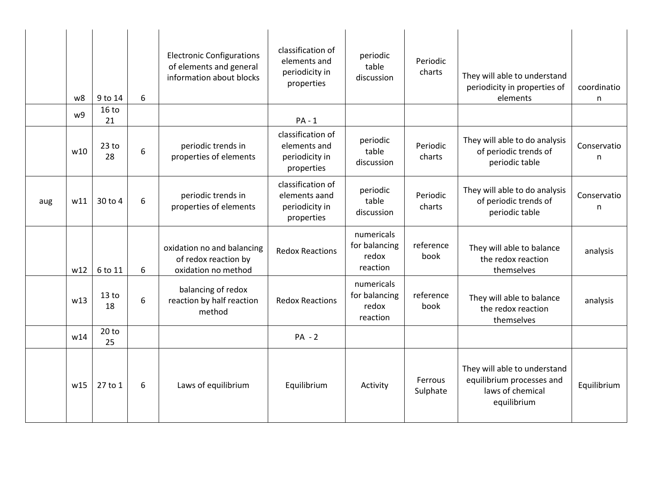|     | w8  | 9 to 14                | 6 | <b>Electronic Configurations</b><br>of elements and general<br>information about blocks | classification of<br>elements and<br>periodicity in<br>properties  | periodic<br>table<br>discussion                  | Periodic<br>charts  | They will able to understand<br>periodicity in properties of<br>elements                     | coordinatio<br>n |
|-----|-----|------------------------|---|-----------------------------------------------------------------------------------------|--------------------------------------------------------------------|--------------------------------------------------|---------------------|----------------------------------------------------------------------------------------------|------------------|
|     | w9  | 16 <sub>to</sub><br>21 |   |                                                                                         | $PA - 1$                                                           |                                                  |                     |                                                                                              |                  |
|     | w10 | $23$ to<br>28          | 6 | periodic trends in<br>properties of elements                                            | classification of<br>elements and<br>periodicity in<br>properties  | periodic<br>table<br>discussion                  | Periodic<br>charts  | They will able to do analysis<br>of periodic trends of<br>periodic table                     | Conservatio<br>n |
| aug | W11 | 30 to 4                | 6 | periodic trends in<br>properties of elements                                            | classification of<br>elements aand<br>periodicity in<br>properties | periodic<br>table<br>discussion                  | Periodic<br>charts  | They will able to do analysis<br>of periodic trends of<br>periodic table                     | Conservatio<br>n |
|     | w12 | 6 to 11                | 6 | oxidation no and balancing<br>of redox reaction by<br>oxidation no method               | <b>Redox Reactions</b>                                             | numericals<br>for balancing<br>redox<br>reaction | reference<br>book   | They will able to balance<br>the redox reaction<br>themselves                                | analysis         |
|     | w13 | 13 <sub>to</sub><br>18 | 6 | balancing of redox<br>reaction by half reaction<br>method                               | <b>Redox Reactions</b>                                             | numericals<br>for balancing<br>redox<br>reaction | reference<br>book   | They will able to balance<br>the redox reaction<br>themselves                                | analysis         |
|     | w14 | 20 <sub>to</sub><br>25 |   |                                                                                         | $PA - 2$                                                           |                                                  |                     |                                                                                              |                  |
|     | w15 | 27 to 1                | 6 | Laws of equilibrium                                                                     | Equilibrium                                                        | Activity                                         | Ferrous<br>Sulphate | They will able to understand<br>equilibrium processes and<br>laws of chemical<br>equilibrium | Equilibrium      |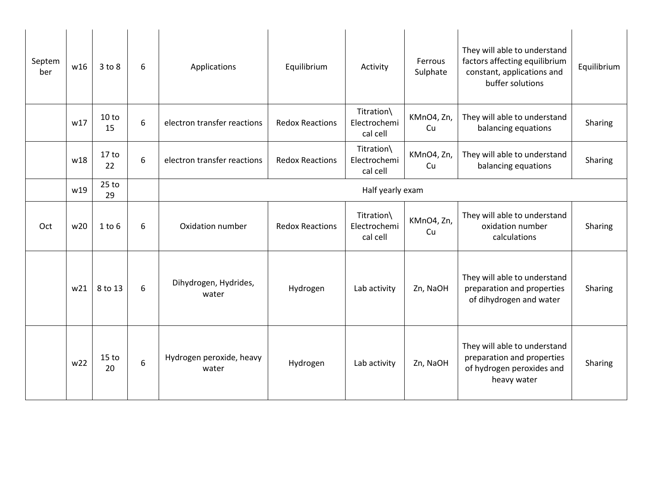| Septem<br>ber | w16 | 3 to 8                 | 6 | Applications                      | Equilibrium            | Activity                               | Ferrous<br>Sulphate | They will able to understand<br>factors affecting equilibrium<br>constant, applications and<br>buffer solutions | Equilibrium |  |
|---------------|-----|------------------------|---|-----------------------------------|------------------------|----------------------------------------|---------------------|-----------------------------------------------------------------------------------------------------------------|-------------|--|
|               | w17 | 10 to<br>15            | 6 | electron transfer reactions       | <b>Redox Reactions</b> | Titration\<br>Electrochemi<br>cal cell | KMnO4, Zn,<br>Cu    | They will able to understand<br>balancing equations                                                             | Sharing     |  |
|               | w18 | 17 <sub>to</sub><br>22 | 6 | electron transfer reactions       | <b>Redox Reactions</b> | Titration\<br>Electrochemi<br>cal cell | KMnO4, Zn,<br>Cu    | They will able to understand<br>balancing equations                                                             | Sharing     |  |
|               | w19 | $25$ to<br>29          |   |                                   | Half yearly exam       |                                        |                     |                                                                                                                 |             |  |
| Oct           | w20 | $1$ to $6$             | 6 | Oxidation number                  | <b>Redox Reactions</b> | Titration\<br>Electrochemi<br>cal cell | KMnO4, Zn,<br>Cu    | They will able to understand<br>oxidation number<br>calculations                                                | Sharing     |  |
|               | w21 | 8 to 13                | 6 | Dihydrogen, Hydrides,<br>water    | Hydrogen               | Lab activity                           | Zn, NaOH            | They will able to understand<br>preparation and properties<br>of dihydrogen and water                           | Sharing     |  |
|               | w22 | 15 <sub>to</sub><br>20 | 6 | Hydrogen peroxide, heavy<br>water | Hydrogen               | Lab activity                           | Zn, NaOH            | They will able to understand<br>preparation and properties<br>of hydrogen peroxides and<br>heavy water          | Sharing     |  |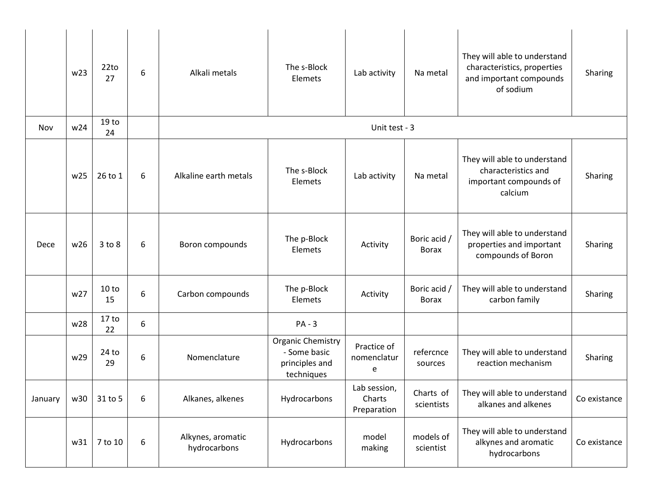|               | w23 | 22 <sub>to</sub><br>27 | 6                | Alkali metals                     | The s-Block<br>Elemets                                                   | Lab activity                          | Na metal                     | They will able to understand<br>characteristics, properties<br>and important compounds<br>of sodium | Sharing      |  |  |
|---------------|-----|------------------------|------------------|-----------------------------------|--------------------------------------------------------------------------|---------------------------------------|------------------------------|-----------------------------------------------------------------------------------------------------|--------------|--|--|
| Nov           | w24 | 19 <sub>to</sub><br>24 |                  |                                   | Unit test - 3                                                            |                                       |                              |                                                                                                     |              |  |  |
|               | w25 | 26 to 1                | 6                | Alkaline earth metals             | The s-Block<br>Elemets                                                   | Lab activity                          | Na metal                     | They will able to understand<br>characteristics and<br>important compounds of<br>calcium            | Sharing      |  |  |
| Dece          | w26 | $3$ to $8$             | 6                | Boron compounds                   | The p-Block<br>Elemets                                                   | Activity                              | Boric acid /<br><b>Borax</b> | They will able to understand<br>properties and important<br>compounds of Boron                      | Sharing      |  |  |
|               | w27 | 10 to<br>15            | 6                | Carbon compounds                  | The p-Block<br>Elemets                                                   | Activity                              | Boric acid /<br><b>Borax</b> | They will able to understand<br>carbon family                                                       | Sharing      |  |  |
|               | w28 | 17 <sub>to</sub><br>22 | $\boldsymbol{6}$ |                                   | $PA - 3$                                                                 |                                       |                              |                                                                                                     |              |  |  |
|               | w29 | $24$ to<br>29          | 6                | Nomenclature                      | <b>Organic Chemistry</b><br>- Some basic<br>principles and<br>techniques | Practice of<br>nomenclatur<br>e       | refercnce<br>sources         | They will able to understand<br>reaction mechanism                                                  | Sharing      |  |  |
| January   w30 |     | 31 to 5                |                  | Alkanes, alkenes                  | Hydrocarbons                                                             | Lab session,<br>Charts<br>Preparation | Charts of<br>scientists      | They will able to understand<br>alkanes and alkenes                                                 | Co existance |  |  |
|               | w31 | 7 to 10                | 6                | Alkynes, aromatic<br>hydrocarbons | Hydrocarbons                                                             | model<br>making                       | models of<br>scientist       | They will able to understand<br>alkynes and aromatic<br>hydrocarbons                                | Co existance |  |  |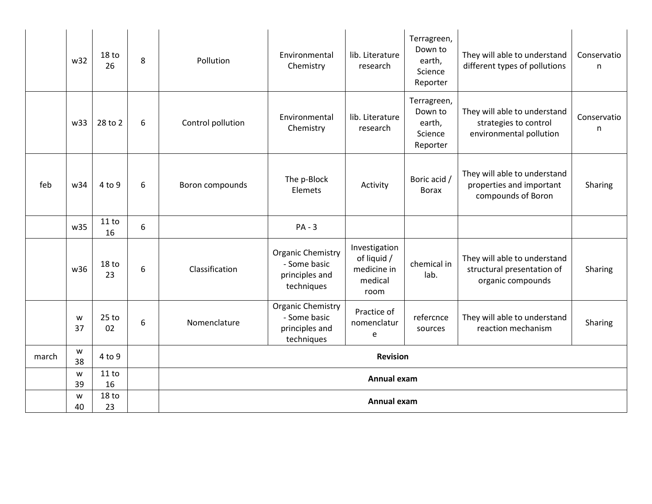|       | w32             | 18 <sub>to</sub><br>26 | 8 | Pollution         | Environmental<br>Chemistry                                               | lib. Literature<br>research                                    | Terragreen,<br>Down to<br>earth,<br>Science<br>Reporter | They will able to understand<br>different types of pollutions                    | Conservatio<br>n |
|-------|-----------------|------------------------|---|-------------------|--------------------------------------------------------------------------|----------------------------------------------------------------|---------------------------------------------------------|----------------------------------------------------------------------------------|------------------|
|       | w33             | 28 to 2                | 6 | Control pollution | Environmental<br>Chemistry                                               | lib. Literature<br>research                                    | Terragreen,<br>Down to<br>earth,<br>Science<br>Reporter | They will able to understand<br>strategies to control<br>environmental pollution | Conservatio<br>n |
| feb   | w34             | 4 to 9                 | 6 | Boron compounds   | The p-Block<br>Elemets                                                   | Activity                                                       | Boric acid /<br><b>Borax</b>                            | They will able to understand<br>properties and important<br>compounds of Boron   | Sharing          |
|       | w35             | 11 to<br>16            | 6 |                   | $PA - 3$                                                                 |                                                                |                                                         |                                                                                  |                  |
|       | w <sub>36</sub> | 18 to<br>23            | 6 | Classification    | <b>Organic Chemistry</b><br>- Some basic<br>principles and<br>techniques | Investigation<br>of liquid /<br>medicine in<br>medical<br>room | chemical in<br>lab.                                     | They will able to understand<br>structural presentation of<br>organic compounds  | Sharing          |
|       | W<br>37         | $25$ to<br>02          | 6 | Nomenclature      | <b>Organic Chemistry</b><br>- Some basic<br>principles and<br>techniques | Practice of<br>nomenclatur<br>e                                | refercnce<br>sources                                    | They will able to understand<br>reaction mechanism                               | Sharing          |
| march | W<br>38         | 4 to 9                 |   |                   |                                                                          | <b>Revision</b>                                                |                                                         |                                                                                  |                  |
|       | W<br>39         | 11 to<br>16            |   |                   | Annual exam                                                              |                                                                |                                                         |                                                                                  |                  |
|       | W<br>40         | 18 <sub>to</sub><br>23 |   |                   |                                                                          | Annual exam                                                    |                                                         |                                                                                  |                  |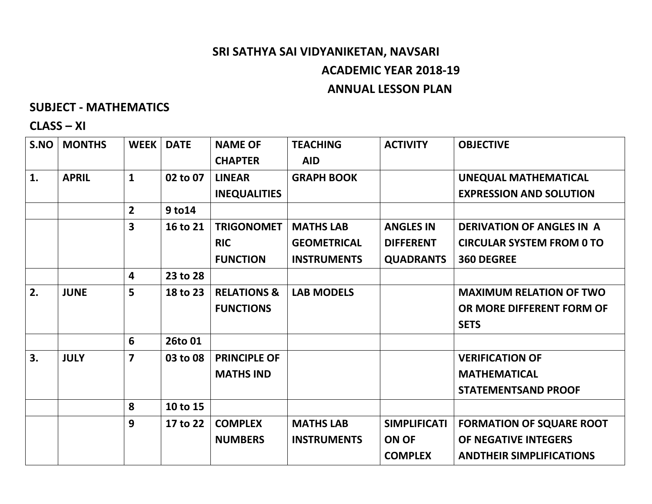# **SRI SATHYA SAI VIDYANIKETAN, NAVSARI ACADEMIC YEAR 2018-19 ANNUAL LESSON PLAN**

#### **SUBJECT - MATHEMATICS**

### **CLASS – XI**

| S.NO | <b>MONTHS</b> | <b>WEEK</b>    | <b>DATE</b> | <b>NAME OF</b>         | <b>TEACHING</b>    | <b>ACTIVITY</b>     | <b>OBJECTIVE</b>                 |
|------|---------------|----------------|-------------|------------------------|--------------------|---------------------|----------------------------------|
|      |               |                |             | <b>CHAPTER</b>         | <b>AID</b>         |                     |                                  |
| 1.   | <b>APRIL</b>  | $\mathbf{1}$   | 02 to 07    | <b>LINEAR</b>          | <b>GRAPH BOOK</b>  |                     | <b>UNEQUAL MATHEMATICAL</b>      |
|      |               |                |             | <b>INEQUALITIES</b>    |                    |                     | <b>EXPRESSION AND SOLUTION</b>   |
|      |               | $\overline{2}$ | 9 to 14     |                        |                    |                     |                                  |
|      |               | 3              | 16 to 21    | <b>TRIGONOMET</b>      | <b>MATHS LAB</b>   | <b>ANGLES IN</b>    | <b>DERIVATION OF ANGLES IN A</b> |
|      |               |                |             | <b>RIC</b>             | <b>GEOMETRICAL</b> | <b>DIFFERENT</b>    | <b>CIRCULAR SYSTEM FROM 0 TO</b> |
|      |               |                |             | <b>FUNCTION</b>        | <b>INSTRUMENTS</b> | <b>QUADRANTS</b>    | <b>360 DEGREE</b>                |
|      |               | 4              | 23 to 28    |                        |                    |                     |                                  |
| 2.   | <b>JUNE</b>   | 5              | 18 to 23    | <b>RELATIONS &amp;</b> | <b>LAB MODELS</b>  |                     | <b>MAXIMUM RELATION OF TWO</b>   |
|      |               |                |             | <b>FUNCTIONS</b>       |                    |                     | OR MORE DIFFERENT FORM OF        |
|      |               |                |             |                        |                    |                     | <b>SETS</b>                      |
|      |               | 6              | 26to 01     |                        |                    |                     |                                  |
| 3.   | <b>JULY</b>   | $\overline{7}$ | 03 to 08    | <b>PRINCIPLE OF</b>    |                    |                     | <b>VERIFICATION OF</b>           |
|      |               |                |             | <b>MATHS IND</b>       |                    |                     | <b>MATHEMATICAL</b>              |
|      |               |                |             |                        |                    |                     | <b>STATEMENTSAND PROOF</b>       |
|      |               | 8              | 10 to 15    |                        |                    |                     |                                  |
|      |               | 9              | 17 to 22    | <b>COMPLEX</b>         | <b>MATHS LAB</b>   | <b>SIMPLIFICATI</b> | <b>FORMATION OF SQUARE ROOT</b>  |
|      |               |                |             | <b>NUMBERS</b>         | <b>INSTRUMENTS</b> | <b>ON OF</b>        | OF NEGATIVE INTEGERS             |
|      |               |                |             |                        |                    | <b>COMPLEX</b>      | <b>ANDTHEIR SIMPLIFICATIONS</b>  |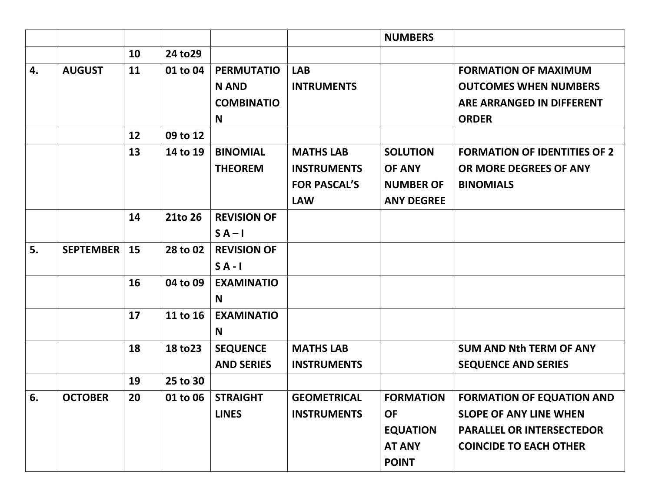|    |                  |    |          |                    |                     | <b>NUMBERS</b>    |                                     |
|----|------------------|----|----------|--------------------|---------------------|-------------------|-------------------------------------|
|    |                  | 10 | 24 to 29 |                    |                     |                   |                                     |
| 4. | <b>AUGUST</b>    | 11 | 01 to 04 | <b>PERMUTATIO</b>  | <b>LAB</b>          |                   | <b>FORMATION OF MAXIMUM</b>         |
|    |                  |    |          | <b>N AND</b>       | <b>INTRUMENTS</b>   |                   | <b>OUTCOMES WHEN NUMBERS</b>        |
|    |                  |    |          | <b>COMBINATIO</b>  |                     |                   | ARE ARRANGED IN DIFFERENT           |
|    |                  |    |          | N                  |                     |                   | <b>ORDER</b>                        |
|    |                  | 12 | 09 to 12 |                    |                     |                   |                                     |
|    |                  | 13 | 14 to 19 | <b>BINOMIAL</b>    | <b>MATHS LAB</b>    | <b>SOLUTION</b>   | <b>FORMATION OF IDENTITIES OF 2</b> |
|    |                  |    |          | <b>THEOREM</b>     | <b>INSTRUMENTS</b>  | <b>OF ANY</b>     | OR MORE DEGREES OF ANY              |
|    |                  |    |          |                    | <b>FOR PASCAL'S</b> | <b>NUMBER OF</b>  | <b>BINOMIALS</b>                    |
|    |                  |    |          |                    | <b>LAW</b>          | <b>ANY DEGREE</b> |                                     |
|    |                  | 14 | 21to 26  | <b>REVISION OF</b> |                     |                   |                                     |
|    |                  |    |          | $SA-I$             |                     |                   |                                     |
| 5. | <b>SEPTEMBER</b> | 15 | 28 to 02 | <b>REVISION OF</b> |                     |                   |                                     |
|    |                  |    |          | $S A - I$          |                     |                   |                                     |
|    |                  | 16 | 04 to 09 | <b>EXAMINATIO</b>  |                     |                   |                                     |
|    |                  |    |          | N                  |                     |                   |                                     |
|    |                  | 17 | 11 to 16 | <b>EXAMINATIO</b>  |                     |                   |                                     |
|    |                  |    |          | N                  |                     |                   |                                     |
|    |                  | 18 | 18 to 23 | <b>SEQUENCE</b>    | <b>MATHS LAB</b>    |                   | <b>SUM AND Nth TERM OF ANY</b>      |
|    |                  |    |          | <b>AND SERIES</b>  | <b>INSTRUMENTS</b>  |                   | <b>SEQUENCE AND SERIES</b>          |
|    |                  | 19 | 25 to 30 |                    |                     |                   |                                     |
| 6. | <b>OCTOBER</b>   | 20 | 01 to 06 | <b>STRAIGHT</b>    | <b>GEOMETRICAL</b>  | <b>FORMATION</b>  | <b>FORMATION OF EQUATION AND</b>    |
|    |                  |    |          | <b>LINES</b>       | <b>INSTRUMENTS</b>  | <b>OF</b>         | <b>SLOPE OF ANY LINE WHEN</b>       |
|    |                  |    |          |                    |                     | <b>EQUATION</b>   | <b>PARALLEL OR INTERSECTEDOR</b>    |
|    |                  |    |          |                    |                     | <b>AT ANY</b>     | <b>COINCIDE TO EACH OTHER</b>       |
|    |                  |    |          |                    |                     | <b>POINT</b>      |                                     |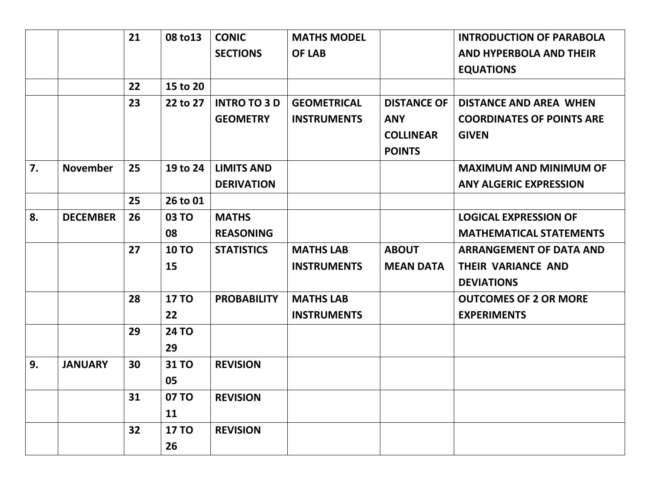|    |                 | 21 | 08 to 13     | <b>CONIC</b>        | <b>MATHS MODEL</b> |                    | <b>INTRODUCTION OF PARABOLA</b>  |
|----|-----------------|----|--------------|---------------------|--------------------|--------------------|----------------------------------|
|    |                 |    |              | <b>SECTIONS</b>     | <b>OF LAB</b>      |                    | <b>AND HYPERBOLA AND THEIR</b>   |
|    |                 |    |              |                     |                    |                    | <b>EQUATIONS</b>                 |
|    |                 | 22 | 15 to 20     |                     |                    |                    |                                  |
|    |                 | 23 | 22 to 27     | <b>INTRO TO 3 D</b> | <b>GEOMETRICAL</b> | <b>DISTANCE OF</b> | <b>DISTANCE AND AREA WHEN</b>    |
|    |                 |    |              | <b>GEOMETRY</b>     | <b>INSTRUMENTS</b> | <b>ANY</b>         | <b>COORDINATES OF POINTS ARE</b> |
|    |                 |    |              |                     |                    | <b>COLLINEAR</b>   | <b>GIVEN</b>                     |
|    |                 |    |              |                     |                    | <b>POINTS</b>      |                                  |
| 7. | <b>November</b> | 25 | 19 to 24     | <b>LIMITS AND</b>   |                    |                    | <b>MAXIMUM AND MINIMUM OF</b>    |
|    |                 |    |              | <b>DERIVATION</b>   |                    |                    | <b>ANY ALGERIC EXPRESSION</b>    |
|    |                 | 25 | 26 to 01     |                     |                    |                    |                                  |
| 8. | <b>DECEMBER</b> | 26 | <b>03 TO</b> | <b>MATHS</b>        |                    |                    | <b>LOGICAL EXPRESSION OF</b>     |
|    |                 |    | 08           | <b>REASONING</b>    |                    |                    | <b>MATHEMATICAL STATEMENTS</b>   |
|    |                 | 27 | <b>10 TO</b> | <b>STATISTICS</b>   | <b>MATHS LAB</b>   | <b>ABOUT</b>       | <b>ARRANGEMENT OF DATA AND</b>   |
|    |                 |    | 15           |                     | <b>INSTRUMENTS</b> | <b>MEAN DATA</b>   | <b>THEIR VARIANCE AND</b>        |
|    |                 |    |              |                     |                    |                    | <b>DEVIATIONS</b>                |
|    |                 | 28 | <b>17 TO</b> | <b>PROBABILITY</b>  | <b>MATHS LAB</b>   |                    | <b>OUTCOMES OF 2 OR MORE</b>     |
|    |                 |    | 22           |                     | <b>INSTRUMENTS</b> |                    | <b>EXPERIMENTS</b>               |
|    |                 | 29 | <b>24 TO</b> |                     |                    |                    |                                  |
|    |                 |    | 29           |                     |                    |                    |                                  |
| 9. | <b>JANUARY</b>  | 30 | 31 TO        | <b>REVISION</b>     |                    |                    |                                  |
|    |                 |    | 05           |                     |                    |                    |                                  |
|    |                 | 31 | 07 TO        | <b>REVISION</b>     |                    |                    |                                  |
|    |                 |    | 11           |                     |                    |                    |                                  |
|    |                 | 32 | <b>17 TO</b> | <b>REVISION</b>     |                    |                    |                                  |
|    |                 |    | 26           |                     |                    |                    |                                  |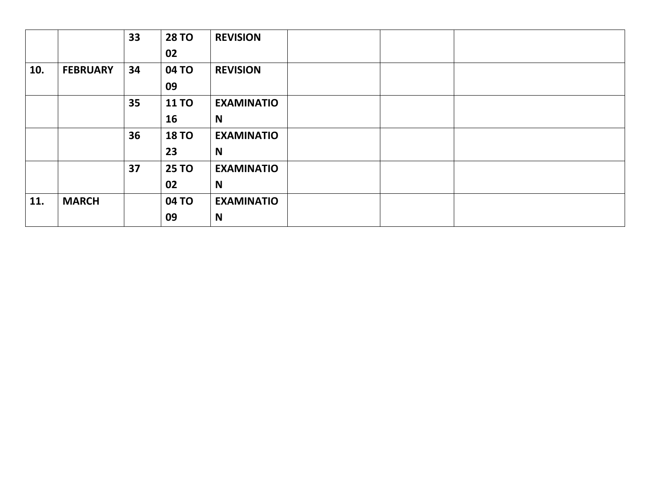|     |                 | 33 | <b>28 TO</b> | <b>REVISION</b>   |
|-----|-----------------|----|--------------|-------------------|
|     |                 |    | 02           |                   |
| 10. | <b>FEBRUARY</b> | 34 | 04 TO        | <b>REVISION</b>   |
|     |                 |    | 09           |                   |
|     |                 | 35 | <b>11 TO</b> | <b>EXAMINATIO</b> |
|     |                 |    | 16           | N                 |
|     |                 | 36 | <b>18 TO</b> | <b>EXAMINATIO</b> |
|     |                 |    | 23           | N                 |
|     |                 | 37 | <b>25 TO</b> | <b>EXAMINATIO</b> |
|     |                 |    | 02           | N                 |
| 11. | <b>MARCH</b>    |    | 04 TO        | <b>EXAMINATIO</b> |
|     |                 |    | 09           | N                 |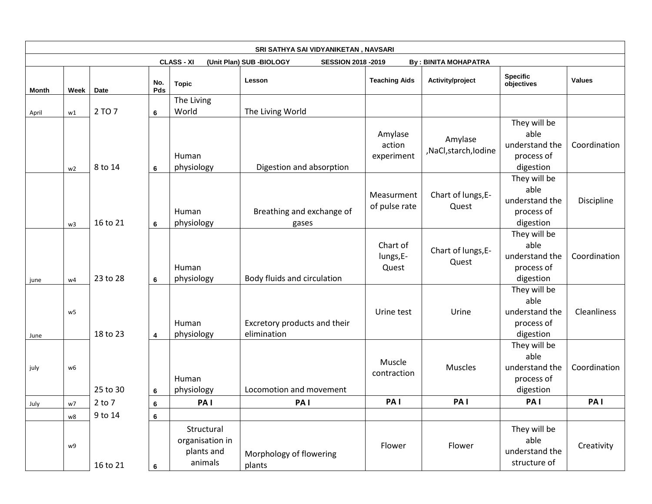|       |                |            |            |                                                        | SRI SATHYA SAI VIDYANIKETAN, NAVSARI                  |                                 |                                |                                                                   |                    |
|-------|----------------|------------|------------|--------------------------------------------------------|-------------------------------------------------------|---------------------------------|--------------------------------|-------------------------------------------------------------------|--------------------|
|       |                |            |            | <b>CLASS - XI</b>                                      | (Unit Plan) SUB -BIOLOGY<br><b>SESSION 2018 -2019</b> |                                 | <b>By: BINITA MOHAPATRA</b>    |                                                                   |                    |
| Month | Week           | Date       | No.<br>Pds | <b>Topic</b>                                           | Lesson                                                | <b>Teaching Aids</b>            | Activity/project               | <b>Specific</b><br>objectives                                     | <b>Values</b>      |
| April | w1             | 2 TO 7     | 6          | The Living<br>World                                    | The Living World                                      |                                 |                                |                                                                   |                    |
|       | w <sub>2</sub> | 8 to 14    | 6          | Human<br>physiology                                    | Digestion and absorption                              | Amylase<br>action<br>experiment | Amylase<br>,NaCl,starch,Iodine | They will be<br>able<br>understand the<br>process of<br>digestion | Coordination       |
|       | w3             | 16 to 21   | 6          | Human<br>physiology                                    | Breathing and exchange of<br>gases                    | Measurment<br>of pulse rate     | Chart of lungs, E-<br>Quest    | They will be<br>able<br>understand the<br>process of<br>digestion | Discipline         |
| june  | w4             | 23 to 28   | 6          | Human<br>physiology                                    | Body fluids and circulation                           | Chart of<br>lungs, E-<br>Quest  | Chart of lungs, E-<br>Quest    | They will be<br>able<br>understand the<br>process of<br>digestion | Coordination       |
| June  | w5             | 18 to 23   | 4          | Human<br>physiology                                    | Excretory products and their<br>elimination           | Urine test                      | Urine                          | They will be<br>able<br>understand the<br>process of<br>digestion | <b>Cleanliness</b> |
| july  | w6             | 25 to 30   | 6          | Human<br>physiology                                    | Locomotion and movement                               | Muscle<br>contraction           | <b>Muscles</b>                 | They will be<br>able<br>understand the<br>process of<br>digestion | Coordination       |
| July  | w7             | $2$ to $7$ | $\bf 6$    | PA <sub>1</sub>                                        | PA <sub>1</sub>                                       | PA <sub>I</sub>                 | PA <sub>I</sub>                | PA <sub>I</sub>                                                   | PA <sub>1</sub>    |
|       | w8             | 9 to 14    | 6          |                                                        |                                                       |                                 |                                |                                                                   |                    |
|       | w9             | 16 to 21   | 6          | Structural<br>organisation in<br>plants and<br>animals | Morphology of flowering<br>plants                     | Flower                          | Flower                         | They will be<br>able<br>understand the<br>structure of            | Creativity         |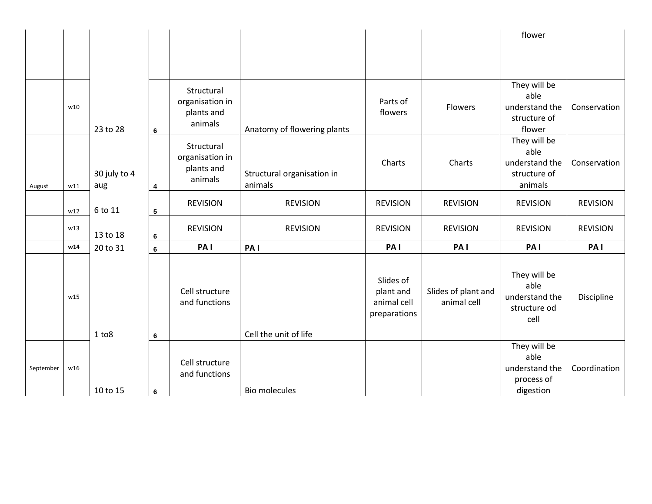|           |     |                     |   |                                                        |                                       |                                                       |                                    | flower                                                            |                 |
|-----------|-----|---------------------|---|--------------------------------------------------------|---------------------------------------|-------------------------------------------------------|------------------------------------|-------------------------------------------------------------------|-----------------|
|           |     |                     |   |                                                        |                                       |                                                       |                                    |                                                                   |                 |
|           |     |                     |   |                                                        |                                       |                                                       |                                    |                                                                   |                 |
|           | w10 | 23 to 28            | 6 | Structural<br>organisation in<br>plants and<br>animals | Anatomy of flowering plants           | Parts of<br>flowers                                   | Flowers                            | They will be<br>able<br>understand the<br>structure of<br>flower  | Conservation    |
| August    | w11 | 30 july to 4<br>aug | 4 | Structural<br>organisation in<br>plants and<br>animals | Structural organisation in<br>animals | Charts                                                | Charts                             | They will be<br>able<br>understand the<br>structure of<br>animals | Conservation    |
|           | w12 | 6 to 11             | 5 | <b>REVISION</b>                                        | <b>REVISION</b>                       | <b>REVISION</b>                                       | <b>REVISION</b>                    | <b>REVISION</b>                                                   | <b>REVISION</b> |
|           | w13 | 13 to 18            | 6 | <b>REVISION</b>                                        | <b>REVISION</b>                       | <b>REVISION</b>                                       | <b>REVISION</b>                    | <b>REVISION</b>                                                   | <b>REVISION</b> |
|           | w14 | 20 to 31            | 6 | PA <sub>I</sub>                                        | PA <sub>I</sub>                       | PA <sub>I</sub>                                       | PA <sub>I</sub>                    | PA <sub>I</sub>                                                   | PA <sub>1</sub> |
|           | w15 | $1$ to $8$          | 6 | Cell structure<br>and functions                        | Cell the unit of life                 | Slides of<br>plant and<br>animal cell<br>preparations | Slides of plant and<br>animal cell | They will be<br>able<br>understand the<br>structure od<br>cell    | Discipline      |
| September | w16 | 10 to 15            | 6 | Cell structure<br>and functions                        | <b>Bio molecules</b>                  |                                                       |                                    | They will be<br>able<br>understand the<br>process of<br>digestion | Coordination    |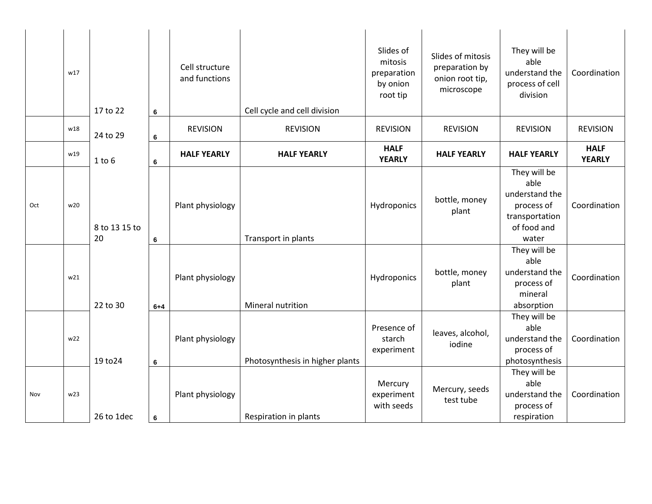|     | w17 | 17 to 22            | 6               | Cell structure<br>and functions | Cell cycle and cell division    | Slides of<br>mitosis<br>preparation<br>by onion<br>root tip | Slides of mitosis<br>preparation by<br>onion root tip,<br>microscope | They will be<br>able<br>understand the<br>process of cell<br>division                          | Coordination                 |
|-----|-----|---------------------|-----------------|---------------------------------|---------------------------------|-------------------------------------------------------------|----------------------------------------------------------------------|------------------------------------------------------------------------------------------------|------------------------------|
|     | w18 | 24 to 29            | 6               | <b>REVISION</b>                 | <b>REVISION</b>                 | <b>REVISION</b>                                             | <b>REVISION</b>                                                      | <b>REVISION</b>                                                                                | <b>REVISION</b>              |
|     | w19 | $1$ to $6$          | $\bf 6$         | <b>HALF YEARLY</b>              | <b>HALF YEARLY</b>              | <b>HALF</b><br><b>YEARLY</b>                                | <b>HALF YEARLY</b>                                                   | <b>HALF YEARLY</b>                                                                             | <b>HALF</b><br><b>YEARLY</b> |
| Oct | w20 | 8 to 13 15 to<br>20 | $\bf 6$         | Plant physiology                | Transport in plants             | Hydroponics                                                 | bottle, money<br>plant                                               | They will be<br>able<br>understand the<br>process of<br>transportation<br>of food and<br>water | Coordination                 |
|     | w21 | 22 to 30            | $6 + 4$         | Plant physiology                | Mineral nutrition               | Hydroponics                                                 | bottle, money<br>plant                                               | They will be<br>able<br>understand the<br>process of<br>mineral<br>absorption                  | Coordination                 |
|     | w22 | 19 to 24            | 6               | Plant physiology                | Photosynthesis in higher plants | Presence of<br>starch<br>experiment                         | leaves, alcohol,<br>iodine                                           | They will be<br>able<br>understand the<br>process of<br>photosynthesis                         | Coordination                 |
| Nov | w23 | 26 to 1dec          | $6\phantom{1}6$ | Plant physiology                | Respiration in plants           | Mercury<br>experiment<br>with seeds                         | Mercury, seeds<br>test tube                                          | They will be<br>able<br>understand the<br>process of<br>respiration                            | Coordination                 |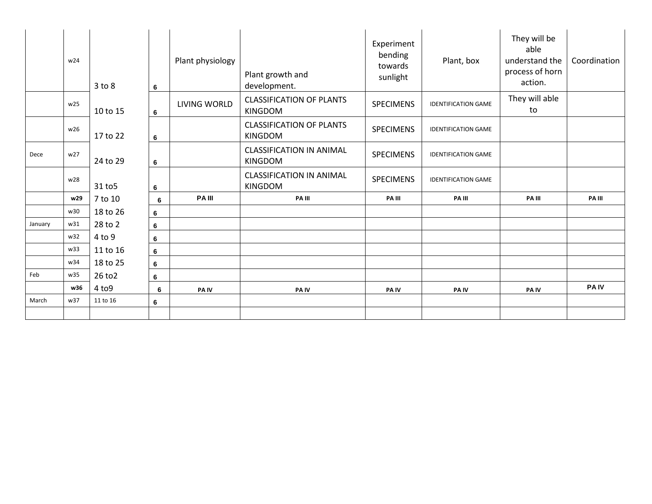|         | w24 | $3$ to $8$ | 6       | Plant physiology | Plant growth and<br>development.                  | Experiment<br>bending<br>towards<br>sunlight | Plant, box                 | They will be<br>able<br>understand the<br>process of horn<br>action. | Coordination |
|---------|-----|------------|---------|------------------|---------------------------------------------------|----------------------------------------------|----------------------------|----------------------------------------------------------------------|--------------|
|         | w25 | 10 to 15   | 6       | LIVING WORLD     | <b>CLASSIFICATION OF PLANTS</b><br><b>KINGDOM</b> | <b>SPECIMENS</b>                             | <b>IDENTIFICATION GAME</b> | They will able<br>to                                                 |              |
|         | w26 | 17 to 22   | 6       |                  | <b>CLASSIFICATION OF PLANTS</b><br><b>KINGDOM</b> | <b>SPECIMENS</b>                             | <b>IDENTIFICATION GAME</b> |                                                                      |              |
| Dece    | w27 | 24 to 29   | 6       |                  | <b>CLASSIFICATION IN ANIMAL</b><br><b>KINGDOM</b> | <b>SPECIMENS</b>                             | <b>IDENTIFICATION GAME</b> |                                                                      |              |
|         | w28 | 31 to 5    | 6       |                  | <b>CLASSIFICATION IN ANIMAL</b><br><b>KINGDOM</b> | <b>SPECIMENS</b>                             | <b>IDENTIFICATION GAME</b> |                                                                      |              |
|         | w29 | 7 to 10    | 6       | <b>PA III</b>    | PA III                                            | PA III                                       | PA III                     | PA III                                                               | PA III       |
|         | w30 | 18 to 26   | 6       |                  |                                                   |                                              |                            |                                                                      |              |
| January | w31 | 28 to 2    | $\bf 6$ |                  |                                                   |                                              |                            |                                                                      |              |
|         | w32 | 4 to 9     | 6       |                  |                                                   |                                              |                            |                                                                      |              |
|         | w33 | 11 to 16   | 6       |                  |                                                   |                                              |                            |                                                                      |              |
|         | w34 | 18 to 25   | 6       |                  |                                                   |                                              |                            |                                                                      |              |
| Feb     | w35 | 26 to 2    | 6       |                  |                                                   |                                              |                            |                                                                      |              |
|         | w36 | 4 to 9     | 6       | PA IV            | <b>PAIV</b>                                       | PA IV                                        | PA IV                      | <b>PAIV</b>                                                          | <b>PAIV</b>  |
| March   | w37 | 11 to 16   | 6       |                  |                                                   |                                              |                            |                                                                      |              |
|         |     |            |         |                  |                                                   |                                              |                            |                                                                      |              |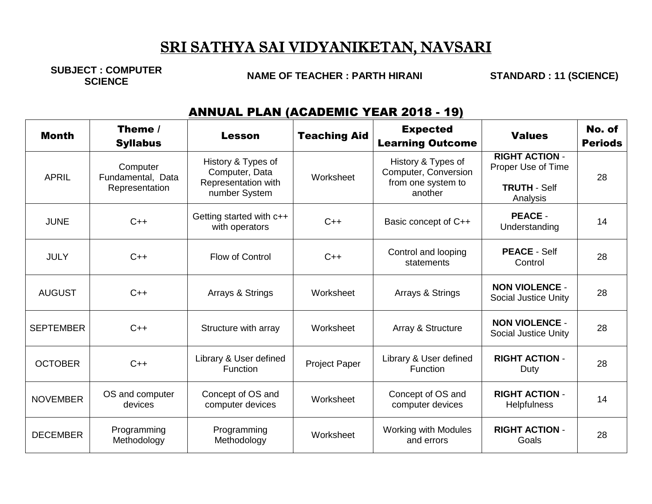# SRI SATHYA SAI VIDYANIKETAN, NAVSARI

**SUBJECT : COMPUTER**

**SCIENCE NAME OF TEACHER : PARTH HIRANI STANDARD : 11 (SCIENCE)**

### ANNUAL PLAN (ACADEMIC YEAR 2018 - 19)

| <b>Month</b>     | Theme /<br><b>Syllabus</b>                      | <b>Lesson</b>                                                                | <b>Teaching Aid</b>  | <b>Expected</b><br><b>Learning Outcome</b>                                  | <b>Values</b>                                                      | No. of<br><b>Periods</b> |
|------------------|-------------------------------------------------|------------------------------------------------------------------------------|----------------------|-----------------------------------------------------------------------------|--------------------------------------------------------------------|--------------------------|
| <b>APRIL</b>     | Computer<br>Fundamental, Data<br>Representation | History & Types of<br>Computer, Data<br>Representation with<br>number System | Worksheet            | History & Types of<br>Computer, Conversion<br>from one system to<br>another | <b>RIGHT ACTION -</b><br>Proper Use of Time<br><b>TRUTH - Self</b> | 28                       |
| <b>JUNE</b>      | $C++$                                           | Getting started with c++<br>with operators                                   | $C++$                | Basic concept of C++                                                        | Analysis<br><b>PEACE -</b><br>Understanding                        | 14                       |
| <b>JULY</b>      | $C++$                                           | Flow of Control                                                              | $C++$                | Control and looping<br>statements                                           | <b>PEACE - Self</b><br>Control                                     | 28                       |
| <b>AUGUST</b>    | $C++$                                           | Arrays & Strings                                                             | Worksheet            | Arrays & Strings                                                            | <b>NON VIOLENCE -</b><br><b>Social Justice Unity</b>               | 28                       |
| <b>SEPTEMBER</b> | $C++$                                           | Structure with array                                                         | Worksheet            | Array & Structure                                                           | <b>NON VIOLENCE -</b><br><b>Social Justice Unity</b>               | 28                       |
| <b>OCTOBER</b>   | $C++$                                           | Library & User defined<br><b>Function</b>                                    | <b>Project Paper</b> | Library & User defined<br>Function                                          | <b>RIGHT ACTION -</b><br>Duty                                      | 28                       |
| <b>NOVEMBER</b>  | OS and computer<br>devices                      | Concept of OS and<br>computer devices                                        | Worksheet            | Concept of OS and<br>computer devices                                       | <b>RIGHT ACTION -</b><br><b>Helpfulness</b>                        | 14                       |
| <b>DECEMBER</b>  | Programming<br>Methodology                      | Programming<br>Methodology                                                   | Worksheet            | <b>Working with Modules</b><br>and errors                                   | <b>RIGHT ACTION -</b><br>Goals                                     | 28                       |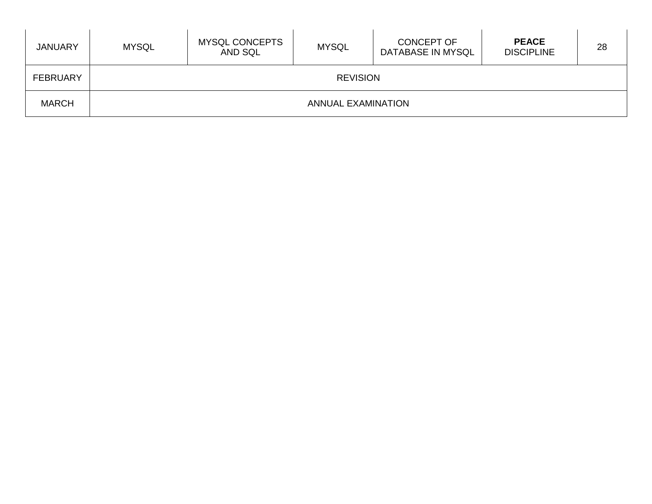| <b>JANUARY</b>  | <b>MYSQL</b> | <b>MYSQL CONCEPTS</b><br>AND SQL | <b>MYSQL</b>              | CONCEPT OF<br>DATABASE IN MYSQL | <b>PEACE</b><br><b>DISCIPLINE</b> | 28 |
|-----------------|--------------|----------------------------------|---------------------------|---------------------------------|-----------------------------------|----|
| <b>FEBRUARY</b> |              |                                  | <b>REVISION</b>           |                                 |                                   |    |
| <b>MARCH</b>    |              |                                  | <b>ANNUAL EXAMINATION</b> |                                 |                                   |    |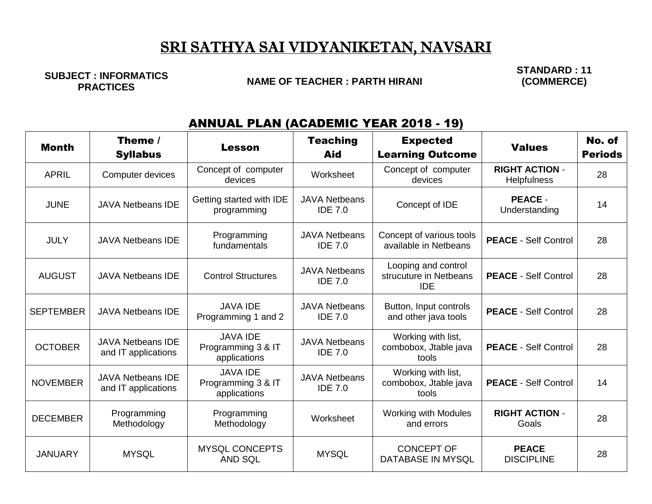# SRI SATHYA SAI VIDYANIKETAN, NAVSARI

**SUBJECT : INFORMATICS** 

#### **NAME OF TEACHER : PARTH HIRANI**

**STANDARD : 11 (COMMERCE)**

#### ANNUAL PLAN (ACADEMIC YEAR 2018 - 19)

| <b>Month</b>     | Theme /<br><b>Syllabus</b>                      | <b>Lesson</b>                                         | <b>Teaching</b><br>Aid                 | <b>Expected</b><br><b>Learning Outcome</b>                  | <b>Values</b>                               | No. of<br><b>Periods</b> |
|------------------|-------------------------------------------------|-------------------------------------------------------|----------------------------------------|-------------------------------------------------------------|---------------------------------------------|--------------------------|
| <b>APRIL</b>     | Computer devices                                | Concept of computer<br>devices                        | Worksheet                              | Concept of computer<br>devices                              | <b>RIGHT ACTION -</b><br><b>Helpfulness</b> | 28                       |
| <b>JUNE</b>      | <b>JAVA Netbeans IDE</b>                        | Getting started with IDE<br>programming               | <b>JAVA Netbeans</b><br><b>IDE 7.0</b> | Concept of IDE                                              | <b>PEACE -</b><br>Understanding             | 14                       |
| <b>JULY</b>      | <b>JAVA Netbeans IDE</b>                        | Programming<br>fundamentals                           | <b>JAVA Netbeans</b><br><b>IDE 7.0</b> | Concept of various tools<br>available in Netbeans           | <b>PEACE - Self Control</b>                 | 28                       |
| <b>AUGUST</b>    | <b>JAVA Netbeans IDE</b>                        | <b>Control Structures</b>                             | <b>JAVA Netbeans</b><br><b>IDE 7.0</b> | Looping and control<br>strucuture in Netbeans<br><b>IDE</b> | <b>PEACE - Self Control</b>                 | 28                       |
| <b>SEPTEMBER</b> | <b>JAVA Netbeans IDE</b>                        | <b>JAVA IDE</b><br>Programming 1 and 2                | <b>JAVA Netbeans</b><br><b>IDE 7.0</b> | Button, Input controls<br>and other java tools              | <b>PEACE - Self Control</b>                 | 28                       |
| <b>OCTOBER</b>   | <b>JAVA Netbeans IDE</b><br>and IT applications | <b>JAVA IDE</b><br>Programming 3 & IT<br>applications | <b>JAVA Netbeans</b><br><b>IDE 7.0</b> | Working with list,<br>combobox, Jtable java<br>tools        | <b>PEACE - Self Control</b>                 | 28                       |
| <b>NOVEMBER</b>  | <b>JAVA Netbeans IDE</b><br>and IT applications | <b>JAVA IDE</b><br>Programming 3 & IT<br>applications | <b>JAVA Netbeans</b><br><b>IDE 7.0</b> | Working with list,<br>combobox, Jtable java<br>tools        | <b>PEACE - Self Control</b>                 | 14                       |
| <b>DECEMBER</b>  | Programming<br>Methodology                      | Programming<br>Methodology                            | Worksheet                              | <b>Working with Modules</b><br>and errors                   | <b>RIGHT ACTION -</b><br>Goals              | 28                       |
| <b>JANUARY</b>   | <b>MYSQL</b>                                    | <b>MYSQL CONCEPTS</b><br><b>AND SQL</b>               | <b>MYSQL</b>                           | <b>CONCEPT OF</b><br>DATABASE IN MYSQL                      | <b>PEACE</b><br><b>DISCIPLINE</b>           | 28                       |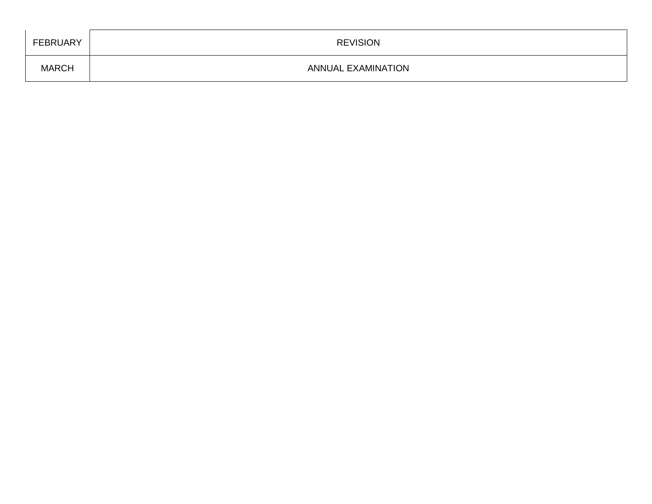| FEBRUARY     | <b>REVISION</b>           |
|--------------|---------------------------|
| <b>MARCH</b> | <b>ANNUAL EXAMINATION</b> |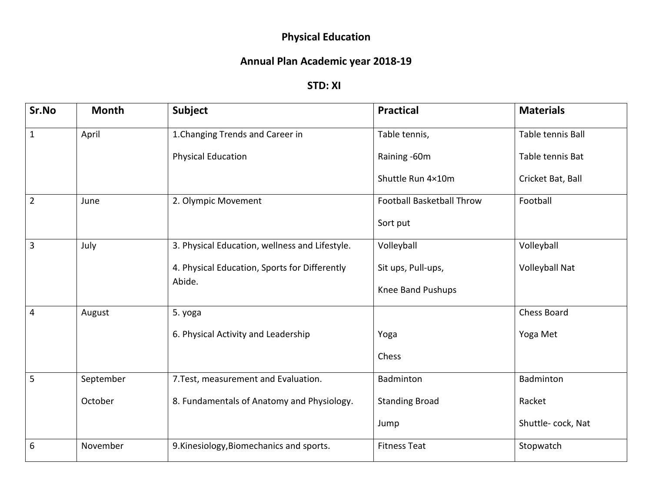## **Physical Education**

## **Annual Plan Academic year 2018-19**

#### **STD: XI**

| Sr.No          | <b>Month</b> | <b>Subject</b>                                 | <b>Practical</b>          | <b>Materials</b>   |
|----------------|--------------|------------------------------------------------|---------------------------|--------------------|
| $\mathbf{1}$   | April        | 1. Changing Trends and Career in               | Table tennis,             | Table tennis Ball  |
|                |              | <b>Physical Education</b>                      | Raining -60m              | Table tennis Bat   |
|                |              |                                                | Shuttle Run 4×10m         | Cricket Bat, Ball  |
| $\overline{2}$ | June         | 2. Olympic Movement                            | Football Basketball Throw | Football           |
|                |              |                                                | Sort put                  |                    |
| $\overline{3}$ | July         | 3. Physical Education, wellness and Lifestyle. | Volleyball                | Volleyball         |
|                |              | 4. Physical Education, Sports for Differently  | Sit ups, Pull-ups,        | Volleyball Nat     |
|                |              | Abide.                                         | Knee Band Pushups         |                    |
| 4              | August       | 5. yoga                                        |                           | <b>Chess Board</b> |
|                |              | 6. Physical Activity and Leadership            | Yoga                      | Yoga Met           |
|                |              |                                                | Chess                     |                    |
| 5              | September    | 7. Test, measurement and Evaluation.           | Badminton                 | Badminton          |
|                | October      | 8. Fundamentals of Anatomy and Physiology.     | <b>Standing Broad</b>     | Racket             |
|                |              |                                                | Jump                      | Shuttle-cock, Nat  |
| 6              | November     | 9. Kinesiology, Biomechanics and sports.       | <b>Fitness Teat</b>       | Stopwatch          |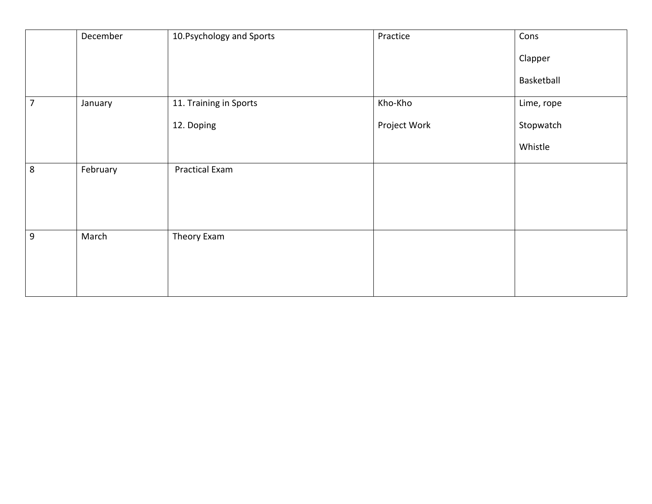|                | December | 10. Psychology and Sports | Practice     | Cons       |
|----------------|----------|---------------------------|--------------|------------|
|                |          |                           |              | Clapper    |
|                |          |                           |              | Basketball |
| $\overline{7}$ | January  | 11. Training in Sports    | Kho-Kho      | Lime, rope |
|                |          | 12. Doping                | Project Work | Stopwatch  |
|                |          |                           |              | Whistle    |
| 8              | February | <b>Practical Exam</b>     |              |            |
| 9              | March    | Theory Exam               |              |            |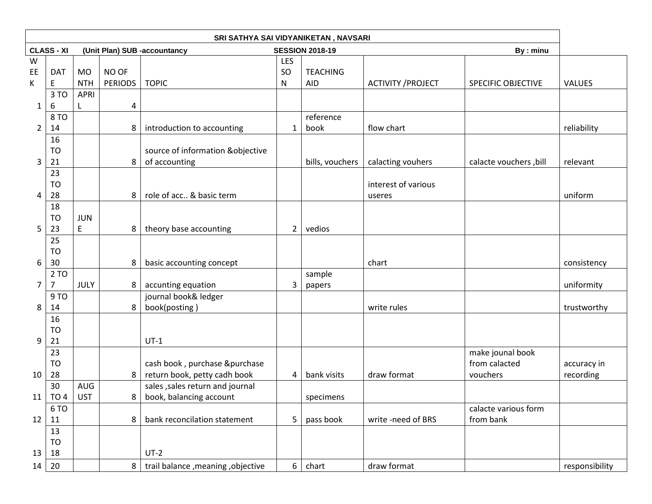|                |                   |             |                |                                     |                | SRI SATHYA SAI VIDYANIKETAN, NAVSARI |                           |                           |                |
|----------------|-------------------|-------------|----------------|-------------------------------------|----------------|--------------------------------------|---------------------------|---------------------------|----------------|
|                | <b>CLASS - XI</b> |             |                | (Unit Plan) SUB -accountancy        |                | <b>SESSION 2018-19</b>               |                           | By : minu                 |                |
| W              | <b>DAT</b>        | <b>MO</b>   | NO OF          |                                     | LES<br>SO      | <b>TEACHING</b>                      |                           |                           |                |
| EE<br>K        | E                 | <b>NTH</b>  | <b>PERIODS</b> | <b>TOPIC</b>                        | ${\sf N}$      | <b>AID</b>                           | <b>ACTIVITY / PROJECT</b> | <b>SPECIFIC OBJECTIVE</b> | <b>VALUES</b>  |
|                | 3 TO              | <b>APRI</b> |                |                                     |                |                                      |                           |                           |                |
| $\mathbf{1}$   | 6                 | L           | 4              |                                     |                |                                      |                           |                           |                |
|                | 8 TO              |             |                |                                     |                | reference                            |                           |                           |                |
| $\overline{2}$ | 14                |             | 8              | introduction to accounting          | $\mathbf{1}$   | book                                 | flow chart                |                           | reliability    |
|                | 16                |             |                |                                     |                |                                      |                           |                           |                |
|                | <b>TO</b>         |             |                | source of information &objective    |                |                                      |                           |                           |                |
| 3              | 21                |             | 8              | of accounting                       |                | bills, vouchers                      | calacting vouhers         | calacte vouchers, bill    | relevant       |
|                | 23                |             |                |                                     |                |                                      |                           |                           |                |
|                | <b>TO</b>         |             |                |                                     |                |                                      | interest of various       |                           |                |
| 4              | 28                |             | 8              | role of acc & basic term            |                |                                      | useres                    |                           | uniform        |
|                | 18                |             |                |                                     |                |                                      |                           |                           |                |
|                | <b>TO</b>         | <b>JUN</b>  |                |                                     |                |                                      |                           |                           |                |
| 5              | 23                | Е           | 8              | theory base accounting              | $\overline{2}$ | vedios                               |                           |                           |                |
|                | 25                |             |                |                                     |                |                                      |                           |                           |                |
|                | <b>TO</b>         |             |                |                                     |                |                                      |                           |                           |                |
| 6              | 30                |             | 8              | basic accounting concept            |                |                                      | chart                     |                           | consistency    |
|                | 2 TO              |             |                |                                     |                | sample                               |                           |                           |                |
| $\overline{7}$ | 7                 | JULY        | 8              | accunting equation                  | $\mathbf{3}$   | papers                               |                           |                           | uniformity     |
| 8              | 9 TO              |             |                | journal book& ledger                |                |                                      |                           |                           |                |
|                | 14<br>16          |             | 8              | book(posting)                       |                |                                      | write rules               |                           | trustworthy    |
|                | <b>TO</b>         |             |                |                                     |                |                                      |                           |                           |                |
| 9              | 21                |             |                | $UT-1$                              |                |                                      |                           |                           |                |
|                | 23                |             |                |                                     |                |                                      |                           | make jounal book          |                |
|                | <b>TO</b>         |             |                | cash book, purchase &purchase       |                |                                      |                           | from calacted             | accuracy in    |
| 10             | 28                |             | 8              | return book, petty cadh book        | 4              | bank visits                          | draw format               | vouchers                  | recording      |
|                | 30                | AUG         |                | sales, sales return and journal     |                |                                      |                           |                           |                |
|                | $11$ TO 4         | <b>UST</b>  | 8              | book, balancing account             |                | specimens                            |                           |                           |                |
|                | 6 TO              |             |                |                                     |                |                                      |                           | calacte various form      |                |
| 12             | 11                |             | 8              | bank reconcilation statement        | 5              | pass book                            | write -need of BRS        | from bank                 |                |
|                | 13                |             |                |                                     |                |                                      |                           |                           |                |
|                | <b>TO</b>         |             |                |                                     |                |                                      |                           |                           |                |
| 13             | 18                |             |                | $UT-2$                              |                |                                      |                           |                           |                |
| 14             | 20                |             | 8              | trail balance , meaning , objective | 6 <sup>1</sup> | chart                                | draw format               |                           | responsibility |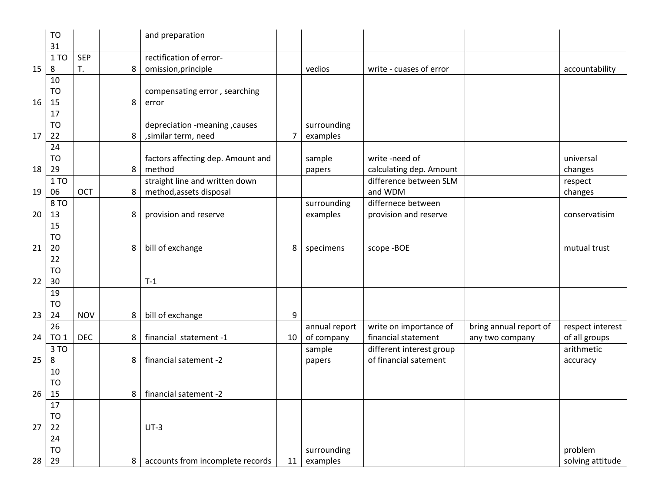|    | <b>TO</b><br>31 |            |   | and preparation                   |    |               |                          |                        |                  |
|----|-----------------|------------|---|-----------------------------------|----|---------------|--------------------------|------------------------|------------------|
|    | 1 TO            | <b>SEP</b> |   | rectification of error-           |    |               |                          |                        |                  |
| 15 | 8               | T.         | 8 | omission, principle               |    | vedios        | write - cuases of error  |                        | accountability   |
|    | 10              |            |   |                                   |    |               |                          |                        |                  |
|    | <b>TO</b>       |            |   | compensating error, searching     |    |               |                          |                        |                  |
| 16 | 15              |            | 8 | error                             |    |               |                          |                        |                  |
|    | 17              |            |   |                                   |    |               |                          |                        |                  |
|    | <b>TO</b>       |            |   | depreciation -meaning, causes     |    | surrounding   |                          |                        |                  |
| 17 | 22              |            | 8 | , similar term, need              | 7  | examples      |                          |                        |                  |
|    | 24              |            |   |                                   |    |               |                          |                        |                  |
|    | <b>TO</b>       |            |   | factors affecting dep. Amount and |    | sample        | write -need of           |                        | universal        |
| 18 | 29              |            | 8 | method                            |    | papers        | calculating dep. Amount  |                        | changes          |
|    | 1 TO            |            |   | straight line and written down    |    |               | difference between SLM   |                        | respect          |
| 19 | 06              | OCT        | 8 | method, assets disposal           |    |               | and WDM                  |                        | changes          |
|    | 8 TO            |            |   |                                   |    | surrounding   | differnece between       |                        |                  |
| 20 | 13              |            | 8 | provision and reserve             |    | examples      | provision and reserve    |                        | conservatisim    |
|    | 15              |            |   |                                   |    |               |                          |                        |                  |
|    | <b>TO</b>       |            |   |                                   |    |               |                          |                        |                  |
| 21 | 20              |            | 8 | bill of exchange                  | 8  | specimens     | scope -BOE               |                        | mutual trust     |
|    | 22              |            |   |                                   |    |               |                          |                        |                  |
|    | TO              |            |   |                                   |    |               |                          |                        |                  |
| 22 | 30              |            |   | $T-1$                             |    |               |                          |                        |                  |
|    | 19              |            |   |                                   |    |               |                          |                        |                  |
|    | <b>TO</b>       |            |   |                                   |    |               |                          |                        |                  |
| 23 | 24              | <b>NOV</b> | 8 | bill of exchange                  | 9  |               |                          |                        |                  |
|    | 26              |            |   |                                   |    | annual report | write on importance of   | bring annual report of | respect interest |
| 24 | <b>TO 1</b>     | <b>DEC</b> | 8 | financial statement -1            | 10 | of company    | financial statement      | any two company        | of all groups    |
|    | 3 TO            |            |   |                                   |    | sample        | different interest group |                        | arithmetic       |
| 25 | 8               |            | 8 | financial satement -2             |    | papers        | of financial satement    |                        | accuracy         |
|    | 10              |            |   |                                   |    |               |                          |                        |                  |
|    | <b>TO</b>       |            |   |                                   |    |               |                          |                        |                  |
| 26 | 15              |            | 8 | financial satement -2             |    |               |                          |                        |                  |
|    | 17              |            |   |                                   |    |               |                          |                        |                  |
|    | <b>TO</b>       |            |   |                                   |    |               |                          |                        |                  |
| 27 | 22              |            |   | $UT-3$                            |    |               |                          |                        |                  |
|    | 24              |            |   |                                   |    |               |                          |                        |                  |
|    | <b>TO</b>       |            |   |                                   |    | surrounding   |                          |                        | problem          |
| 28 | 29              |            | 8 | accounts from incomplete records  | 11 | examples      |                          |                        | solving attitude |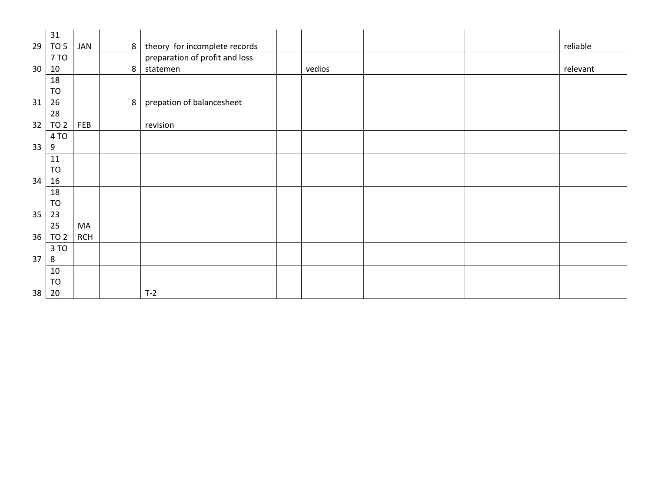|    | 31              |            |                |                                   |        |  |          |
|----|-----------------|------------|----------------|-----------------------------------|--------|--|----------|
| 29 | TO 5            | JAN        |                | 8   theory for incomplete records |        |  | reliable |
|    | 7 TO            |            |                | preparation of profit and loss    |        |  |          |
| 30 | 10              |            | 8              | statemen                          | vedios |  | relevant |
|    | 18              |            |                |                                   |        |  |          |
|    | <b>TO</b>       |            |                |                                   |        |  |          |
| 31 | 26              |            | 8 <sup>1</sup> | prepation of balancesheet         |        |  |          |
|    | 28              |            |                |                                   |        |  |          |
| 32 | TO <sub>2</sub> | FEB        |                | revision                          |        |  |          |
|    | 4 TO            |            |                |                                   |        |  |          |
| 33 | 9               |            |                |                                   |        |  |          |
|    | 11              |            |                |                                   |        |  |          |
|    | <b>TO</b>       |            |                |                                   |        |  |          |
| 34 | 16              |            |                |                                   |        |  |          |
|    | 18              |            |                |                                   |        |  |          |
|    | <b>TO</b>       |            |                |                                   |        |  |          |
| 35 | 23              |            |                |                                   |        |  |          |
|    | 25              | MA         |                |                                   |        |  |          |
| 36 | TO <sub>2</sub> | <b>RCH</b> |                |                                   |        |  |          |
|    | 3 TO            |            |                |                                   |        |  |          |
| 37 | 8               |            |                |                                   |        |  |          |
|    | 10              |            |                |                                   |        |  |          |
|    | <b>TO</b>       |            |                |                                   |        |  |          |
| 38 | 20              |            |                | $T-2$                             |        |  |          |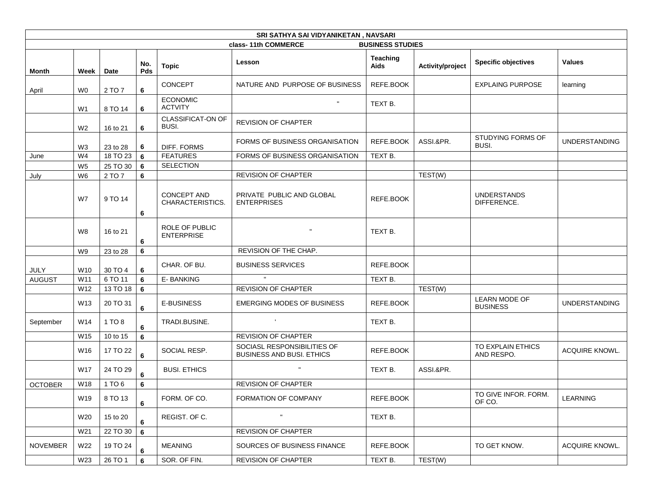|                 | SRI SATHYA SAI VIDYANIKETAN, NAVSARI                                  |          |            |                                            |                                                                 |                         |                  |                                         |                       |
|-----------------|-----------------------------------------------------------------------|----------|------------|--------------------------------------------|-----------------------------------------------------------------|-------------------------|------------------|-----------------------------------------|-----------------------|
|                 |                                                                       |          |            |                                            | class-11th COMMERCE                                             | <b>BUSINESS STUDIES</b> |                  |                                         |                       |
| Month           | Week                                                                  | Date     | No.<br>Pds | <b>Topic</b>                               | Lesson                                                          | <b>Teaching</b><br>Aids | Activity/project | <b>Specific objectives</b>              | <b>Values</b>         |
| April           | <b>CONCEPT</b><br>NATURE AND PURPOSE OF BUSINESS<br>6<br>2 TO 7<br>W0 |          | REFE.BOOK  |                                            | <b>EXPLAING PURPOSE</b>                                         | learning                |                  |                                         |                       |
|                 | W <sub>1</sub>                                                        | 8 TO 14  | 6          | <b>ECONOMIC</b><br><b>ACTVITY</b>          | $\mathbf{H}$                                                    | TEXT B.                 |                  |                                         |                       |
|                 | W <sub>2</sub>                                                        | 16 to 21 | 6          | CLASSIFICAT-ON OF<br>BUSI.                 | <b>REVISION OF CHAPTER</b>                                      |                         |                  |                                         |                       |
|                 | W <sub>3</sub>                                                        | 23 to 28 | 6          | DIFF. FORMS                                | FORMS OF BUSINESS ORGANISATION                                  | REFE.BOOK               | ASSI.&PR.        | STUDYING FORMS OF<br>BUSI.              | <b>UNDERSTANDING</b>  |
| June            | W <sub>4</sub>                                                        | 18 TO 23 | 6          | <b>FEATURES</b>                            | FORMS OF BUSINESS ORGANISATION                                  | TEXT B.                 |                  |                                         |                       |
|                 | W <sub>5</sub>                                                        | 25 TO 30 | 6          | <b>SELECTION</b>                           |                                                                 |                         |                  |                                         |                       |
| July            | W <sub>6</sub>                                                        | 2 TO 7   | 6          |                                            | <b>REVISION OF CHAPTER</b>                                      |                         | TEST(W)          |                                         |                       |
|                 | W7                                                                    | 9 TO 14  | 6          | <b>CONCEPT AND</b><br>CHARACTERISTICS.     | PRIVATE PUBLIC AND GLOBAL<br><b>ENTERPRISES</b>                 | REFE.BOOK               |                  | <b>UNDERSTANDS</b><br>DIFFERENCE.       |                       |
|                 | W8                                                                    | 16 to 21 | 6          | <b>ROLE OF PUBLIC</b><br><b>ENTERPRISE</b> |                                                                 | TEXT B.                 |                  |                                         |                       |
|                 | W9                                                                    | 23 to 28 | 6          |                                            | REVISION OF THE CHAP.                                           |                         |                  |                                         |                       |
| <b>JULY</b>     | W10                                                                   | 30 TO 4  | 6          | CHAR. OF BU.                               | <b>BUSINESS SERVICES</b>                                        | REFE.BOOK               |                  |                                         |                       |
| <b>AUGUST</b>   | W11                                                                   | 6 TO 11  | 6          | E-BANKING                                  |                                                                 | TEXT B.                 |                  |                                         |                       |
|                 | W12                                                                   | 13 TO 18 | 6          |                                            | <b>REVISION OF CHAPTER</b>                                      |                         | TEST(W)          |                                         |                       |
|                 | W13                                                                   | 20 TO 31 | 6          | <b>E-BUSINESS</b>                          | <b>EMERGING MODES OF BUSINESS</b>                               | REFE.BOOK               |                  | <b>LEARN MODE OF</b><br><b>BUSINESS</b> | <b>UNDERSTANDING</b>  |
| September       | W14                                                                   | 1 TO 8   | 6          | TRADI.BUSINE.                              | $\mathbf{L}$                                                    | TEXT B.                 |                  |                                         |                       |
|                 | W15                                                                   | 10 to 15 | 6          |                                            | <b>REVISION OF CHAPTER</b>                                      |                         |                  |                                         |                       |
|                 | W16                                                                   | 17 TO 22 | 6          | SOCIAL RESP.                               | SOCIASL RESPONSIBILITIES OF<br><b>BUSINESS AND BUSI. ETHICS</b> | REFE.BOOK               |                  | TO EXPLAIN ETHICS<br>AND RESPO.         | <b>ACQUIRE KNOWL.</b> |
|                 | W17                                                                   | 24 TO 29 | 6          | <b>BUSI, ETHICS</b>                        | $\mathbf{u}$                                                    | TEXT B.                 | ASSI.&PR.        |                                         |                       |
| <b>OCTOBER</b>  | W18                                                                   | 1 TO 6   | 6          |                                            | <b>REVISION OF CHAPTER</b>                                      |                         |                  |                                         |                       |
|                 | W19                                                                   | 8 TO 13  | 6          | FORM. OF CO.                               | FORMATION OF COMPANY                                            | REFE.BOOK               |                  | TO GIVE INFOR, FORM.<br>OF CO.          | LEARNING              |
|                 | W20                                                                   | 15 to 20 | 6          | REGIST. OF C.                              | $\mathbf{H}$                                                    | TEXT B.                 |                  |                                         |                       |
|                 | W21                                                                   | 22 TO 30 | 6          |                                            | REVISION OF CHAPTER                                             |                         |                  |                                         |                       |
| <b>NOVEMBER</b> | W22                                                                   | 19 TO 24 | 6          | MEANING                                    | SOURCES OF BUSINESS FINANCE                                     | REFE.BOOK               |                  | TO GET KNOW.                            | ACQUIRE KNOWL.        |
|                 | W23                                                                   | 26 TO 1  | 6          | SOR. OF FIN.                               | REVISION OF CHAPTER                                             | TEXT B.                 | TEST(W)          |                                         |                       |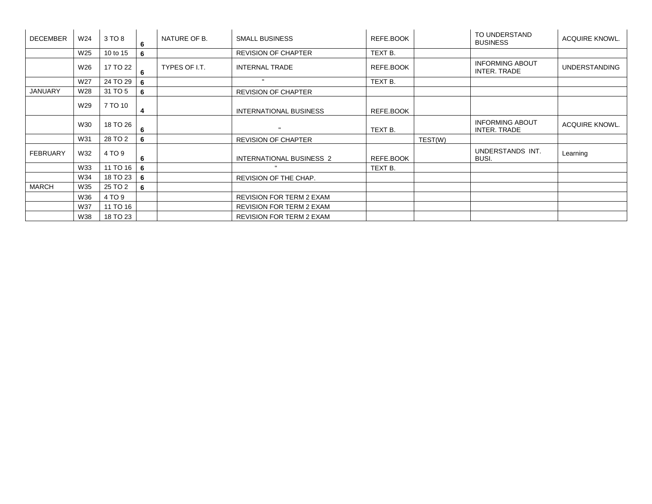| <b>DECEMBER</b> | W24 | 3 TO 8     | 6   | NATURE OF B.  | <b>SMALL BUSINESS</b>           | REFE.BOOK |         | TO UNDERSTAND<br><b>BUSINESS</b>              | ACQUIRE KNOWL.        |
|-----------------|-----|------------|-----|---------------|---------------------------------|-----------|---------|-----------------------------------------------|-----------------------|
|                 | W25 | 10 to 15   | 6   |               | <b>REVISION OF CHAPTER</b>      | TEXT B.   |         |                                               |                       |
|                 | W26 | 17 TO 22   | 6   | TYPES OF I.T. | <b>INTERNAL TRADE</b>           | REFE.BOOK |         | <b>INFORMING ABOUT</b><br>INTER. TRADE        | <b>UNDERSTANDING</b>  |
|                 | W27 | 24 TO 29   | 6   |               |                                 | TEXT B.   |         |                                               |                       |
| <b>JANUARY</b>  | W28 | 31 TO 5    | 6   |               | <b>REVISION OF CHAPTER</b>      |           |         |                                               |                       |
|                 | W29 | 7 TO 10    | 4   |               | <b>INTERNATIONAL BUSINESS</b>   | REFE.BOOK |         |                                               |                       |
|                 | W30 | 18 TO 26   | 6   |               |                                 | TEXT B.   |         | <b>INFORMING ABOUT</b><br><b>INTER, TRADE</b> | <b>ACQUIRE KNOWL.</b> |
|                 | W31 | 28 TO 2    | 6   |               | <b>REVISION OF CHAPTER</b>      |           | TEST(W) |                                               |                       |
| <b>FEBRUARY</b> | W32 | 4 TO 9     | 6   |               | INTERNATIONAL BUSINESS 2        | REFE.BOOK |         | UNDERSTANDS INT.<br><b>BUSI.</b>              | Learning              |
|                 | W33 | 11 TO 16   | - 6 |               |                                 | TEXT B.   |         |                                               |                       |
|                 | W34 | 18 TO 23 6 |     |               | REVISION OF THE CHAP.           |           |         |                                               |                       |
| <b>MARCH</b>    | W35 | 25 TO 2    | 6   |               |                                 |           |         |                                               |                       |
|                 | W36 | 4 TO 9     |     |               | <b>REVISION FOR TERM 2 EXAM</b> |           |         |                                               |                       |
|                 | W37 | 11 TO 16   |     |               | <b>REVISION FOR TERM 2 EXAM</b> |           |         |                                               |                       |
|                 | W38 | 18 TO 23   |     |               | <b>REVISION FOR TERM 2 EXAM</b> |           |         |                                               |                       |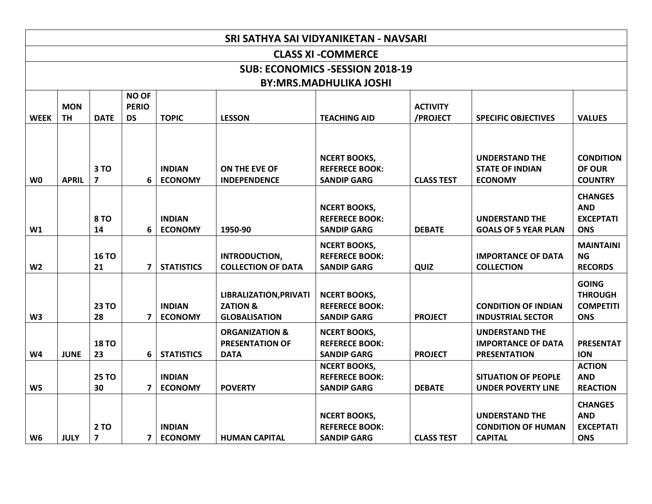|                | SRI SATHYA SAI VIDYANIKETAN - NAVSARI  |                                        |                                           |                                 |                                                                              |                                                                    |                             |                                                                           |                                                                  |  |
|----------------|----------------------------------------|----------------------------------------|-------------------------------------------|---------------------------------|------------------------------------------------------------------------------|--------------------------------------------------------------------|-----------------------------|---------------------------------------------------------------------------|------------------------------------------------------------------|--|
|                |                                        |                                        |                                           |                                 |                                                                              | <b>CLASS XI - COMMERCE</b>                                         |                             |                                                                           |                                                                  |  |
|                | <b>SUB: ECONOMICS -SESSION 2018-19</b> |                                        |                                           |                                 |                                                                              |                                                                    |                             |                                                                           |                                                                  |  |
|                |                                        |                                        |                                           |                                 |                                                                              | <b>BY:MRS.MADHULIKA JOSHI</b>                                      |                             |                                                                           |                                                                  |  |
| <b>WEEK</b>    | <b>MON</b><br><b>TH</b>                | <b>DATE</b>                            | <b>NO OF</b><br><b>PERIO</b><br><b>DS</b> | <b>TOPIC</b>                    | <b>LESSON</b>                                                                | <b>TEACHING AID</b>                                                | <b>ACTIVITY</b><br>/PROJECT | <b>SPECIFIC OBJECTIVES</b>                                                | <b>VALUES</b>                                                    |  |
| W <sub>0</sub> | <b>APRIL</b>                           | 3 TO<br>$\overline{7}$                 | 6                                         | <b>INDIAN</b><br><b>ECONOMY</b> | ON THE EVE OF<br><b>INDEPENDENCE</b>                                         | <b>NCERT BOOKS,</b><br><b>REFERECE BOOK:</b><br><b>SANDIP GARG</b> | <b>CLASS TEST</b>           | <b>UNDERSTAND THE</b><br><b>STATE OF INDIAN</b><br><b>ECONOMY</b>         | <b>CONDITION</b><br>OF OUR<br><b>COUNTRY</b>                     |  |
| W1             |                                        | <b>8 TO</b><br>14                      | 6                                         | <b>INDIAN</b><br><b>ECONOMY</b> | 1950-90                                                                      | <b>NCERT BOOKS,</b><br><b>REFERECE BOOK:</b><br><b>SANDIP GARG</b> | <b>DEBATE</b>               | <b>UNDERSTAND THE</b><br><b>GOALS OF 5 YEAR PLAN</b>                      | <b>CHANGES</b><br><b>AND</b><br><b>EXCEPTATI</b><br><b>ONS</b>   |  |
| W <sub>2</sub> |                                        | <b>16 TO</b><br>21                     | $\overline{7}$                            | <b>STATISTICS</b>               | INTRODUCTION,<br><b>COLLECTION OF DATA</b>                                   | <b>NCERT BOOKS,</b><br><b>REFERECE BOOK:</b><br><b>SANDIP GARG</b> | QUIZ                        | <b>IMPORTANCE OF DATA</b><br><b>COLLECTION</b>                            | <b>MAINTAINI</b><br>NG.<br><b>RECORDS</b>                        |  |
| W <sub>3</sub> |                                        | <b>23 TO</b><br>28                     | 7                                         | <b>INDIAN</b><br><b>ECONOMY</b> | <b>LIBRALIZATION, PRIVATI</b><br><b>ZATION &amp;</b><br><b>GLOBALISATION</b> | <b>NCERT BOOKS,</b><br><b>REFERECE BOOK:</b><br><b>SANDIP GARG</b> | <b>PROJECT</b>              | <b>CONDITION OF INDIAN</b><br><b>INDUSTRIAL SECTOR</b>                    | <b>GOING</b><br><b>THROUGH</b><br><b>COMPETITI</b><br><b>ONS</b> |  |
| W4             | <b>JUNE</b>                            | <b>18 TO</b><br>23                     | 6                                         | <b>STATISTICS</b>               | <b>ORGANIZATION &amp;</b><br><b>PRESENTATION OF</b><br><b>DATA</b>           | <b>NCERT BOOKS,</b><br><b>REFERECE BOOK:</b><br><b>SANDIP GARG</b> | <b>PROJECT</b>              | <b>UNDERSTAND THE</b><br><b>IMPORTANCE OF DATA</b><br><b>PRESENTATION</b> | <b>PRESENTAT</b><br><b>ION</b>                                   |  |
| W <sub>5</sub> |                                        | <b>25 TO</b><br>30                     | $\overline{7}$                            | <b>INDIAN</b><br><b>ECONOMY</b> | <b>POVERTY</b>                                                               | <b>NCERT BOOKS,</b><br><b>REFERECE BOOK:</b><br><b>SANDIP GARG</b> | <b>DEBATE</b>               | <b>SITUATION OF PEOPLE</b><br><b>UNDER POVERTY LINE</b>                   | <b>ACTION</b><br><b>AND</b><br><b>REACTION</b>                   |  |
| W <sub>6</sub> | <b>JULY</b>                            | <b>2 TO</b><br>$\overline{\mathbf{z}}$ | $7^{\circ}$                               | <b>INDIAN</b><br><b>ECONOMY</b> | <b>HUMAN CAPITAL</b>                                                         | <b>NCERT BOOKS,</b><br><b>REFERECE BOOK:</b><br><b>SANDIP GARG</b> | <b>CLASS TEST</b>           | <b>UNDERSTAND THE</b><br><b>CONDITION OF HUMAN</b><br><b>CAPITAL</b>      | <b>CHANGES</b><br><b>AND</b><br><b>EXCEPTATI</b><br><b>ONS</b>   |  |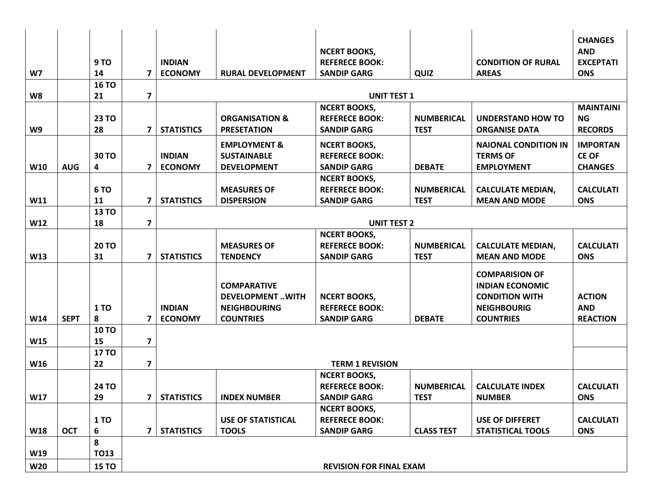| W7         |             | 9 TO<br>14   | 7                       | <b>INDIAN</b><br><b>ECONOMY</b> | <b>RURAL DEVELOPMENT</b>                                            | <b>NCERT BOOKS,</b><br><b>REFERECE BOOK:</b><br><b>SANDIP GARG</b> | QUIZ              | <b>CONDITION OF RURAL</b><br><b>AREAS</b>                                                      | <b>CHANGES</b><br><b>AND</b><br><b>EXCEPTATI</b><br><b>ONS</b> |  |
|------------|-------------|--------------|-------------------------|---------------------------------|---------------------------------------------------------------------|--------------------------------------------------------------------|-------------------|------------------------------------------------------------------------------------------------|----------------------------------------------------------------|--|
|            |             | <b>16 TO</b> |                         |                                 |                                                                     |                                                                    |                   |                                                                                                |                                                                |  |
| W8         |             | 21           | $\overline{\mathbf{z}}$ |                                 |                                                                     | <b>UNIT TEST 1</b>                                                 |                   |                                                                                                | <b>MAINTAINI</b>                                               |  |
|            |             | <b>23 TO</b> |                         |                                 | <b>ORGANISATION &amp;</b>                                           | <b>NCERT BOOKS,</b><br><b>REFERECE BOOK:</b>                       | <b>NUMBERICAL</b> | <b>UNDERSTAND HOW TO</b>                                                                       | NG.                                                            |  |
| W9         |             | 28           | 7                       | <b>STATISTICS</b>               | <b>PRESETATION</b>                                                  | <b>SANDIP GARG</b>                                                 | <b>TEST</b>       | <b>ORGANISE DATA</b>                                                                           | <b>RECORDS</b>                                                 |  |
|            |             |              |                         |                                 |                                                                     |                                                                    |                   |                                                                                                |                                                                |  |
|            |             |              |                         |                                 | <b>EMPLOYMENT &amp;</b>                                             | <b>NCERT BOOKS,</b>                                                |                   | <b>NAIONAL CONDITION IN</b>                                                                    | <b>IMPORTAN</b>                                                |  |
|            |             | 30 TO        |                         | <b>INDIAN</b>                   | <b>SUSTAINABLE</b>                                                  | <b>REFERECE BOOK:</b>                                              |                   | <b>TERMS OF</b>                                                                                | <b>CE OF</b>                                                   |  |
| W10        | <b>AUG</b>  | 4            | 7                       | <b>ECONOMY</b>                  | <b>DEVELOPMENT</b>                                                  | <b>SANDIP GARG</b>                                                 | <b>DEBATE</b>     | <b>EMPLOYMENT</b>                                                                              | <b>CHANGES</b>                                                 |  |
|            |             |              |                         |                                 |                                                                     | <b>NCERT BOOKS,</b>                                                |                   |                                                                                                |                                                                |  |
|            |             | <b>6 TO</b>  |                         |                                 | <b>MEASURES OF</b>                                                  | <b>REFERECE BOOK:</b>                                              | <b>NUMBERICAL</b> | <b>CALCULATE MEDIAN,</b>                                                                       | <b>CALCULATI</b>                                               |  |
| W11        |             | 11           | 7                       | <b>STATISTICS</b>               | <b>DISPERSION</b>                                                   | <b>SANDIP GARG</b>                                                 | <b>TEST</b>       | <b>MEAN AND MODE</b>                                                                           | <b>ONS</b>                                                     |  |
|            |             | <b>13 TO</b> | $\overline{\mathbf{z}}$ |                                 |                                                                     |                                                                    |                   |                                                                                                |                                                                |  |
| W12        |             | 18           |                         |                                 | <b>UNIT TEST 2</b>                                                  |                                                                    |                   |                                                                                                |                                                                |  |
|            |             | <b>20 TO</b> |                         |                                 | <b>MEASURES OF</b>                                                  | <b>NCERT BOOKS,</b><br><b>REFERECE BOOK:</b>                       | <b>NUMBERICAL</b> | <b>CALCULATE MEDIAN,</b>                                                                       | <b>CALCULATI</b>                                               |  |
| W13        |             | 31           | 7                       | <b>STATISTICS</b>               | <b>TENDENCY</b>                                                     | <b>SANDIP GARG</b>                                                 | <b>TEST</b>       | <b>MEAN AND MODE</b>                                                                           | <b>ONS</b>                                                     |  |
|            |             |              |                         |                                 |                                                                     |                                                                    |                   |                                                                                                |                                                                |  |
|            |             | <b>1 TO</b>  |                         | <b>INDIAN</b>                   | <b>COMPARATIVE</b><br><b>DEVELOPMENTWITH</b><br><b>NEIGHBOURING</b> | <b>NCERT BOOKS,</b><br><b>REFERECE BOOK:</b>                       |                   | <b>COMPARISION OF</b><br><b>INDIAN ECONOMIC</b><br><b>CONDITION WITH</b><br><b>NEIGHBOURIG</b> | <b>ACTION</b><br><b>AND</b>                                    |  |
| W14        | <b>SEPT</b> | 8            | 7                       | <b>ECONOMY</b>                  | <b>COUNTRIES</b>                                                    | <b>SANDIP GARG</b>                                                 | <b>DEBATE</b>     | <b>COUNTRIES</b>                                                                               | <b>REACTION</b>                                                |  |
|            |             | <b>10 TO</b> |                         |                                 |                                                                     |                                                                    |                   |                                                                                                |                                                                |  |
| W15        |             | 15           | $\overline{\mathbf{z}}$ |                                 |                                                                     |                                                                    |                   |                                                                                                |                                                                |  |
|            |             | <b>17 TO</b> |                         |                                 |                                                                     |                                                                    |                   |                                                                                                |                                                                |  |
| W16        |             | 22           | $\overline{\mathbf{z}}$ |                                 |                                                                     | <b>TERM 1 REVISION</b>                                             |                   |                                                                                                |                                                                |  |
|            |             |              |                         |                                 |                                                                     | <b>NCERT BOOKS,</b>                                                |                   |                                                                                                |                                                                |  |
|            |             | 24 TO        |                         |                                 |                                                                     | <b>REFERECE BOOK:</b>                                              | <b>NUMBERICAL</b> | <b>CALCULATE INDEX</b>                                                                         | <b>CALCULATI</b>                                               |  |
| W17        |             | 29           |                         | 7   STATISTICS                  | <b>INDEX NUMBER</b>                                                 | <b>SANDIP GARG</b>                                                 | <b>TEST</b>       | <b>NUMBER</b>                                                                                  | <b>ONS</b>                                                     |  |
|            |             |              |                         |                                 |                                                                     | <b>NCERT BOOKS,</b>                                                |                   |                                                                                                |                                                                |  |
|            |             | <b>1 TO</b>  |                         |                                 | <b>USE OF STATISTICAL</b>                                           | <b>REFERECE BOOK:</b>                                              |                   | <b>USE OF DIFFERET</b>                                                                         | <b>CALCULATI</b>                                               |  |
| W18        | <b>OCT</b>  | 6            | $\overline{7}$          | <b>STATISTICS</b>               | <b>TOOLS</b>                                                        | <b>SANDIP GARG</b>                                                 | <b>CLASS TEST</b> | <b>STATISTICAL TOOLS</b>                                                                       | <b>ONS</b>                                                     |  |
|            |             | 8            |                         |                                 |                                                                     |                                                                    |                   |                                                                                                |                                                                |  |
| W19        |             | <b>TO13</b>  |                         |                                 |                                                                     |                                                                    |                   |                                                                                                |                                                                |  |
| <b>W20</b> |             | <b>15 TO</b> |                         |                                 |                                                                     | <b>REVISION FOR FINAL EXAM</b>                                     |                   |                                                                                                |                                                                |  |